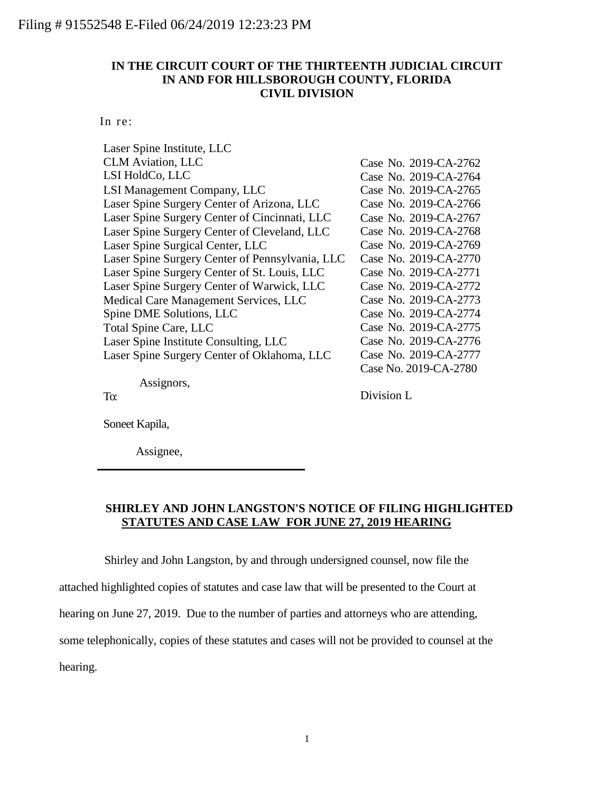### **IN THE CIRCUIT COURT OF THE THIRTEENTH JUDICIAL CIRCUIT IN AND FOR HILLSBOROUGH COUNTY, FLORIDA CIVIL DIVISION**

In re:

| Laser Spine Institute, LLC                      |                       |
|-------------------------------------------------|-----------------------|
| <b>CLM</b> Aviation, LLC                        | Case No. 2019-CA-2762 |
| LSI HoldCo, LLC                                 | Case No. 2019-CA-2764 |
| LSI Management Company, LLC                     | Case No. 2019-CA-2765 |
| Laser Spine Surgery Center of Arizona, LLC      | Case No. 2019-CA-2766 |
| Laser Spine Surgery Center of Cincinnati, LLC   | Case No. 2019-CA-2767 |
| Laser Spine Surgery Center of Cleveland, LLC    | Case No. 2019-CA-2768 |
| Laser Spine Surgical Center, LLC                | Case No. 2019-CA-2769 |
| Laser Spine Surgery Center of Pennsylvania, LLC | Case No. 2019-CA-2770 |
| Laser Spine Surgery Center of St. Louis, LLC    | Case No. 2019-CA-2771 |
| Laser Spine Surgery Center of Warwick, LLC      | Case No. 2019-CA-2772 |
| Medical Care Management Services, LLC           | Case No. 2019-CA-2773 |
| Spine DME Solutions, LLC                        | Case No. 2019-CA-2774 |
| Total Spine Care, LLC                           | Case No. 2019-CA-2775 |
| Laser Spine Institute Consulting, LLC           | Case No. 2019-CA-2776 |
| Laser Spine Surgery Center of Oklahoma, LLC     | Case No. 2019-CA-2777 |
|                                                 | Case No. 2019-CA-2780 |
|                                                 |                       |

Assignors,

To:

Division L

Soneet Kapila,

Assignee,

### **SHIRLEY AND JOHN LANGSTON'S NOTICE OF FILING HIGHLIGHTED STATUTES AND CASE LAW FOR JUNE 27, 2019 HEARING**

Shirley and John Langston, by and through undersigned counsel, now file the

attached highlighted copies of statutes and case law that will be presented to the Court at

hearing on June 27, 2019. Due to the number of parties and attorneys who are attending,

some telephonically, copies of these statutes and cases will not be provided to counsel at the

hearing.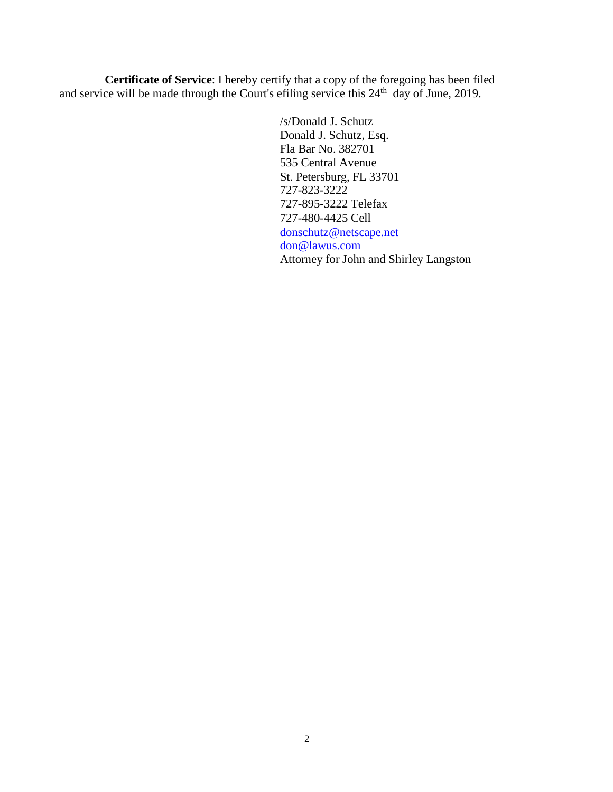**Certificate of Service**: I hereby certify that a copy of the foregoing has been filed and service will be made through the Court's efiling service this  $24<sup>th</sup>$  day of June, 2019.

> /s/Donald J. Schutz Donald J. Schutz, Esq. Fla Bar No. 382701 535 Central Avenue St. Petersburg, FL 33701 727-823-3222 727-895-3222 Telefax 727-480-4425 Cell donschutz@netscape.net don@lawus.com Attorney for John and Shirley Langston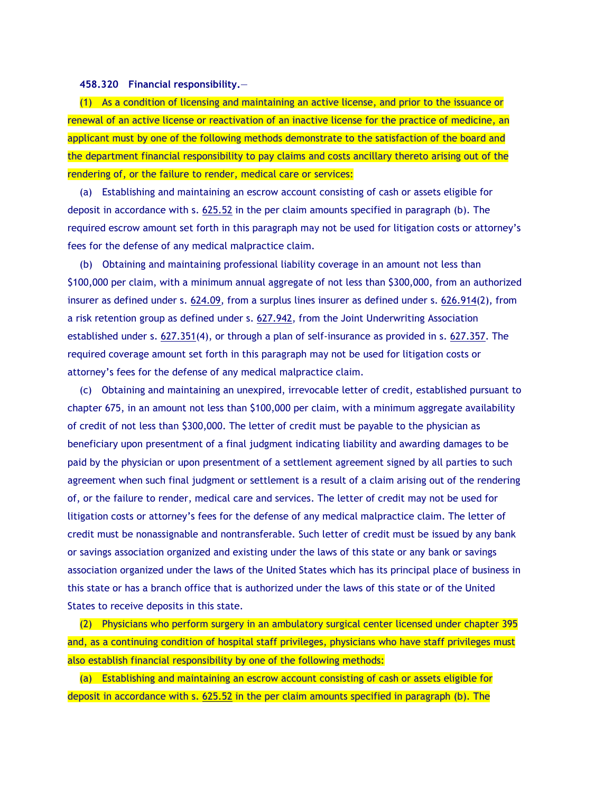#### **458.320 Financial responsibility.**—

(1) As a condition of licensing and maintaining an active license, and prior to the issuance or renewal of an active license or reactivation of an inactive license for the practice of medicine, an applicant must by one of the following methods demonstrate to the satisfaction of the board and the department financial responsibility to pay claims and costs ancillary thereto arising out of the rendering of, or the failure to render, medical care or services:

(a) Establishing and maintaining an escrow account consisting of cash or assets eligible for deposit in accordance with s. 625.52 in the per claim amounts specified in paragraph (b). The required escrow amount set forth in this paragraph may not be used for litigation costs or attorney's fees for the defense of any medical malpractice claim.

(b) Obtaining and maintaining professional liability coverage in an amount not less than \$100,000 per claim, with a minimum annual aggregate of not less than \$300,000, from an authorized insurer as defined under s. 624.09, from a surplus lines insurer as defined under s. 626.914(2), from a risk retention group as defined under s. 627.942, from the Joint Underwriting Association established under s. 627.351(4), or through a plan of self-insurance as provided in s. 627.357. The required coverage amount set forth in this paragraph may not be used for litigation costs or attorney's fees for the defense of any medical malpractice claim.

(c) Obtaining and maintaining an unexpired, irrevocable letter of credit, established pursuant to chapter 675, in an amount not less than \$100,000 per claim, with a minimum aggregate availability of credit of not less than \$300,000. The letter of credit must be payable to the physician as beneficiary upon presentment of a final judgment indicating liability and awarding damages to be paid by the physician or upon presentment of a settlement agreement signed by all parties to such agreement when such final judgment or settlement is a result of a claim arising out of the rendering of, or the failure to render, medical care and services. The letter of credit may not be used for litigation costs or attorney's fees for the defense of any medical malpractice claim. The letter of credit must be nonassignable and nontransferable. Such letter of credit must be issued by any bank or savings association organized and existing under the laws of this state or any bank or savings association organized under the laws of the United States which has its principal place of business in this state or has a branch office that is authorized under the laws of this state or of the United States to receive deposits in this state.

(2) Physicians who perform surgery in an ambulatory surgical center licensed under chapter 395 and, as a continuing condition of hospital staff privileges, physicians who have staff privileges must also establish financial responsibility by one of the following methods:

(a) Establishing and maintaining an escrow account consisting of cash or assets eligible for deposit in accordance with s. 625.52 in the per claim amounts specified in paragraph (b). The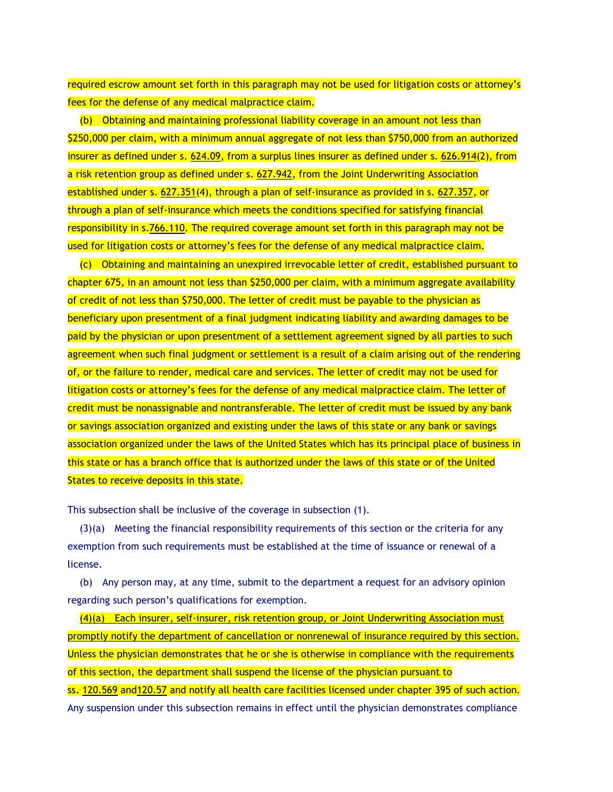required escrow amount set forth in this paragraph may not be used for litigation costs or attorney's fees for the defense of any medical malpractice claim.

(b) Obtaining and maintaining professional liability coverage in an amount not less than \$250,000 per claim, with a minimum annual aggregate of not less than \$750,000 from an authorized insurer as defined under s. 624.09, from a surplus lines insurer as defined under s. 626.914(2), from a risk retention group as defined under s. 627.942, from the Joint Underwriting Association established under s. 627.351(4), through a plan of self-insurance as provided in s. 627.357, or through a plan of self-insurance which meets the conditions specified for satisfying financial responsibility in s.766.110. The required coverage amount set forth in this paragraph may not be used for litigation costs or attorney's fees for the defense of any medical malpractice claim.

(c) Obtaining and maintaining an unexpired irrevocable letter of credit, established pursuant to chapter 675, in an amount not less than \$250,000 per claim, with a minimum aggregate availability of credit of not less than \$750,000. The letter of credit must be payable to the physician as beneficiary upon presentment of a final judgment indicating liability and awarding damages to be paid by the physician or upon presentment of a settlement agreement signed by all parties to such agreement when such final judgment or settlement is a result of a claim arising out of the rendering of, or the failure to render, medical care and services. The letter of credit may not be used for litigation costs or attorney's fees for the defense of any medical malpractice claim. The letter of credit must be nonassignable and nontransferable. The letter of credit must be issued by any bank or savings association organized and existing under the laws of this state or any bank or savings association organized under the laws of the United States which has its principal place of business in this state or has a branch office that is authorized under the laws of this state or of the United States to receive deposits in this state.

This subsection shall be inclusive of the coverage in subsection (1).

(3)(a) Meeting the financial responsibility requirements of this section or the criteria for any exemption from such requirements must be established at the time of issuance or renewal of a license.

(b) Any person may, at any time, submit to the department a request for an advisory opinion regarding such person's qualifications for exemption.

(4)(a) Each insurer, self-insurer, risk retention group, or Joint Underwriting Association must promptly notify the department of cancellation or nonrenewal of insurance required by this section. Unless the physician demonstrates that he or she is otherwise in compliance with the requirements of this section, the department shall suspend the license of the physician pursuant to

ss. 120.569 and120.57 and notify all health care facilities licensed under chapter 395 of such action. Any suspension under this subsection remains in effect until the physician demonstrates compliance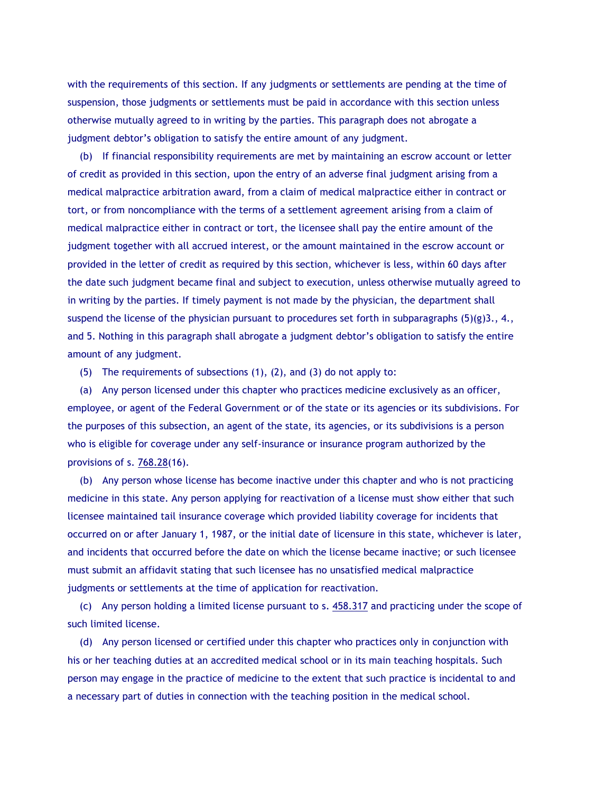with the requirements of this section. If any judgments or settlements are pending at the time of suspension, those judgments or settlements must be paid in accordance with this section unless otherwise mutually agreed to in writing by the parties. This paragraph does not abrogate a judgment debtor's obligation to satisfy the entire amount of any judgment.

(b) If financial responsibility requirements are met by maintaining an escrow account or letter of credit as provided in this section, upon the entry of an adverse final judgment arising from a medical malpractice arbitration award, from a claim of medical malpractice either in contract or tort, or from noncompliance with the terms of a settlement agreement arising from a claim of medical malpractice either in contract or tort, the licensee shall pay the entire amount of the judgment together with all accrued interest, or the amount maintained in the escrow account or provided in the letter of credit as required by this section, whichever is less, within 60 days after the date such judgment became final and subject to execution, unless otherwise mutually agreed to in writing by the parties. If timely payment is not made by the physician, the department shall suspend the license of the physician pursuant to procedures set forth in subparagraphs  $(5)(g)3., 4.,$ and 5. Nothing in this paragraph shall abrogate a judgment debtor's obligation to satisfy the entire amount of any judgment.

(5) The requirements of subsections (1), (2), and (3) do not apply to:

(a) Any person licensed under this chapter who practices medicine exclusively as an officer, employee, or agent of the Federal Government or of the state or its agencies or its subdivisions. For the purposes of this subsection, an agent of the state, its agencies, or its subdivisions is a person who is eligible for coverage under any self-insurance or insurance program authorized by the provisions of s. 768.28(16).

(b) Any person whose license has become inactive under this chapter and who is not practicing medicine in this state. Any person applying for reactivation of a license must show either that such licensee maintained tail insurance coverage which provided liability coverage for incidents that occurred on or after January 1, 1987, or the initial date of licensure in this state, whichever is later, and incidents that occurred before the date on which the license became inactive; or such licensee must submit an affidavit stating that such licensee has no unsatisfied medical malpractice judgments or settlements at the time of application for reactivation.

(c) Any person holding a limited license pursuant to s. 458.317 and practicing under the scope of such limited license.

(d) Any person licensed or certified under this chapter who practices only in conjunction with his or her teaching duties at an accredited medical school or in its main teaching hospitals. Such person may engage in the practice of medicine to the extent that such practice is incidental to and a necessary part of duties in connection with the teaching position in the medical school.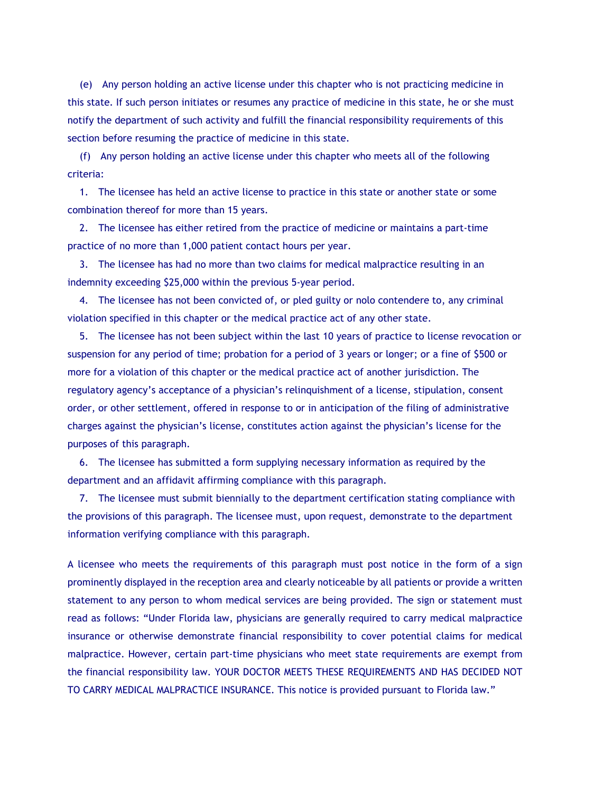(e) Any person holding an active license under this chapter who is not practicing medicine in this state. If such person initiates or resumes any practice of medicine in this state, he or she must notify the department of such activity and fulfill the financial responsibility requirements of this section before resuming the practice of medicine in this state.

(f) Any person holding an active license under this chapter who meets all of the following criteria:

1. The licensee has held an active license to practice in this state or another state or some combination thereof for more than 15 years.

2. The licensee has either retired from the practice of medicine or maintains a part-time practice of no more than 1,000 patient contact hours per year.

3. The licensee has had no more than two claims for medical malpractice resulting in an indemnity exceeding \$25,000 within the previous 5-year period.

4. The licensee has not been convicted of, or pled guilty or nolo contendere to, any criminal violation specified in this chapter or the medical practice act of any other state.

5. The licensee has not been subject within the last 10 years of practice to license revocation or suspension for any period of time; probation for a period of 3 years or longer; or a fine of \$500 or more for a violation of this chapter or the medical practice act of another jurisdiction. The regulatory agency's acceptance of a physician's relinquishment of a license, stipulation, consent order, or other settlement, offered in response to or in anticipation of the filing of administrative charges against the physician's license, constitutes action against the physician's license for the purposes of this paragraph.

6. The licensee has submitted a form supplying necessary information as required by the department and an affidavit affirming compliance with this paragraph.

7. The licensee must submit biennially to the department certification stating compliance with the provisions of this paragraph. The licensee must, upon request, demonstrate to the department information verifying compliance with this paragraph.

A licensee who meets the requirements of this paragraph must post notice in the form of a sign prominently displayed in the reception area and clearly noticeable by all patients or provide a written statement to any person to whom medical services are being provided. The sign or statement must read as follows: "Under Florida law, physicians are generally required to carry medical malpractice insurance or otherwise demonstrate financial responsibility to cover potential claims for medical malpractice. However, certain part-time physicians who meet state requirements are exempt from the financial responsibility law. YOUR DOCTOR MEETS THESE REQUIREMENTS AND HAS DECIDED NOT TO CARRY MEDICAL MALPRACTICE INSURANCE. This notice is provided pursuant to Florida law."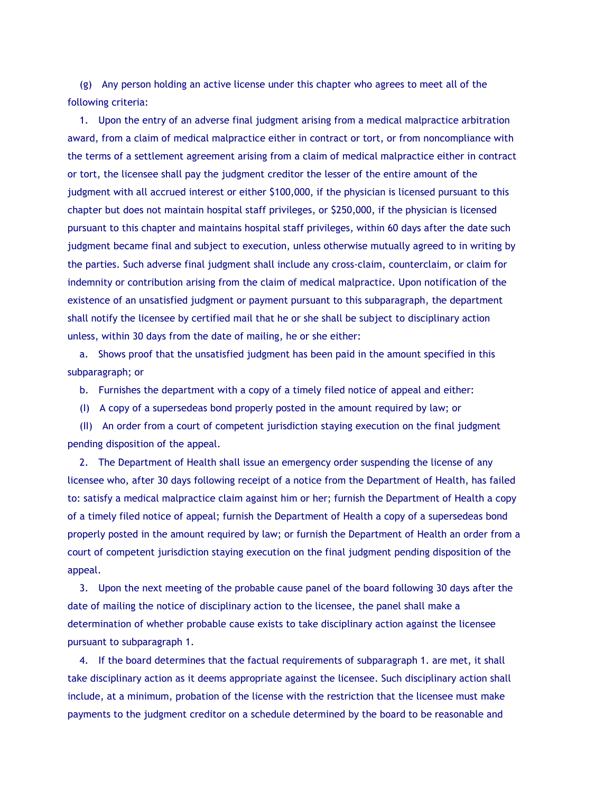(g) Any person holding an active license under this chapter who agrees to meet all of the following criteria:

1. Upon the entry of an adverse final judgment arising from a medical malpractice arbitration award, from a claim of medical malpractice either in contract or tort, or from noncompliance with the terms of a settlement agreement arising from a claim of medical malpractice either in contract or tort, the licensee shall pay the judgment creditor the lesser of the entire amount of the judgment with all accrued interest or either \$100,000, if the physician is licensed pursuant to this chapter but does not maintain hospital staff privileges, or \$250,000, if the physician is licensed pursuant to this chapter and maintains hospital staff privileges, within 60 days after the date such judgment became final and subject to execution, unless otherwise mutually agreed to in writing by the parties. Such adverse final judgment shall include any cross-claim, counterclaim, or claim for indemnity or contribution arising from the claim of medical malpractice. Upon notification of the existence of an unsatisfied judgment or payment pursuant to this subparagraph, the department shall notify the licensee by certified mail that he or she shall be subject to disciplinary action unless, within 30 days from the date of mailing, he or she either:

a. Shows proof that the unsatisfied judgment has been paid in the amount specified in this subparagraph; or

b. Furnishes the department with a copy of a timely filed notice of appeal and either:

(I) A copy of a supersedeas bond properly posted in the amount required by law; or

(II) An order from a court of competent jurisdiction staying execution on the final judgment pending disposition of the appeal.

2. The Department of Health shall issue an emergency order suspending the license of any licensee who, after 30 days following receipt of a notice from the Department of Health, has failed to: satisfy a medical malpractice claim against him or her; furnish the Department of Health a copy of a timely filed notice of appeal; furnish the Department of Health a copy of a supersedeas bond properly posted in the amount required by law; or furnish the Department of Health an order from a court of competent jurisdiction staying execution on the final judgment pending disposition of the appeal.

3. Upon the next meeting of the probable cause panel of the board following 30 days after the date of mailing the notice of disciplinary action to the licensee, the panel shall make a determination of whether probable cause exists to take disciplinary action against the licensee pursuant to subparagraph 1.

4. If the board determines that the factual requirements of subparagraph 1. are met, it shall take disciplinary action as it deems appropriate against the licensee. Such disciplinary action shall include, at a minimum, probation of the license with the restriction that the licensee must make payments to the judgment creditor on a schedule determined by the board to be reasonable and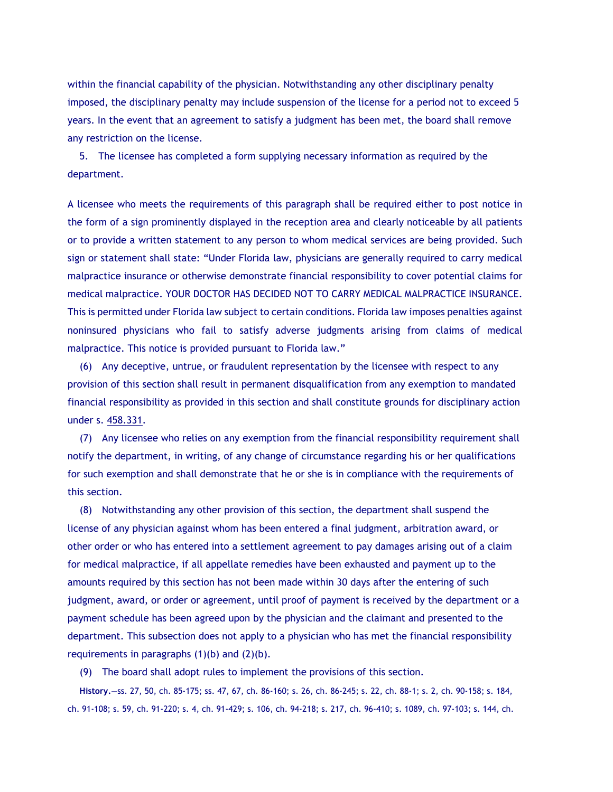within the financial capability of the physician. Notwithstanding any other disciplinary penalty imposed, the disciplinary penalty may include suspension of the license for a period not to exceed 5 years. In the event that an agreement to satisfy a judgment has been met, the board shall remove any restriction on the license.

5. The licensee has completed a form supplying necessary information as required by the department.

A licensee who meets the requirements of this paragraph shall be required either to post notice in the form of a sign prominently displayed in the reception area and clearly noticeable by all patients or to provide a written statement to any person to whom medical services are being provided. Such sign or statement shall state: "Under Florida law, physicians are generally required to carry medical malpractice insurance or otherwise demonstrate financial responsibility to cover potential claims for medical malpractice. YOUR DOCTOR HAS DECIDED NOT TO CARRY MEDICAL MALPRACTICE INSURANCE. This is permitted under Florida law subject to certain conditions. Florida law imposes penalties against noninsured physicians who fail to satisfy adverse judgments arising from claims of medical malpractice. This notice is provided pursuant to Florida law."

(6) Any deceptive, untrue, or fraudulent representation by the licensee with respect to any provision of this section shall result in permanent disqualification from any exemption to mandated financial responsibility as provided in this section and shall constitute grounds for disciplinary action under s. 458.331.

(7) Any licensee who relies on any exemption from the financial responsibility requirement shall notify the department, in writing, of any change of circumstance regarding his or her qualifications for such exemption and shall demonstrate that he or she is in compliance with the requirements of this section.

(8) Notwithstanding any other provision of this section, the department shall suspend the license of any physician against whom has been entered a final judgment, arbitration award, or other order or who has entered into a settlement agreement to pay damages arising out of a claim for medical malpractice, if all appellate remedies have been exhausted and payment up to the amounts required by this section has not been made within 30 days after the entering of such judgment, award, or order or agreement, until proof of payment is received by the department or a payment schedule has been agreed upon by the physician and the claimant and presented to the department. This subsection does not apply to a physician who has met the financial responsibility requirements in paragraphs  $(1)(b)$  and  $(2)(b)$ .

(9) The board shall adopt rules to implement the provisions of this section.

**History.**—ss. 27, 50, ch. 85-175; ss. 47, 67, ch. 86-160; s. 26, ch. 86-245; s. 22, ch. 88-1; s. 2, ch. 90-158; s. 184, ch. 91-108; s. 59, ch. 91-220; s. 4, ch. 91-429; s. 106, ch. 94-218; s. 217, ch. 96-410; s. 1089, ch. 97-103; s. 144, ch.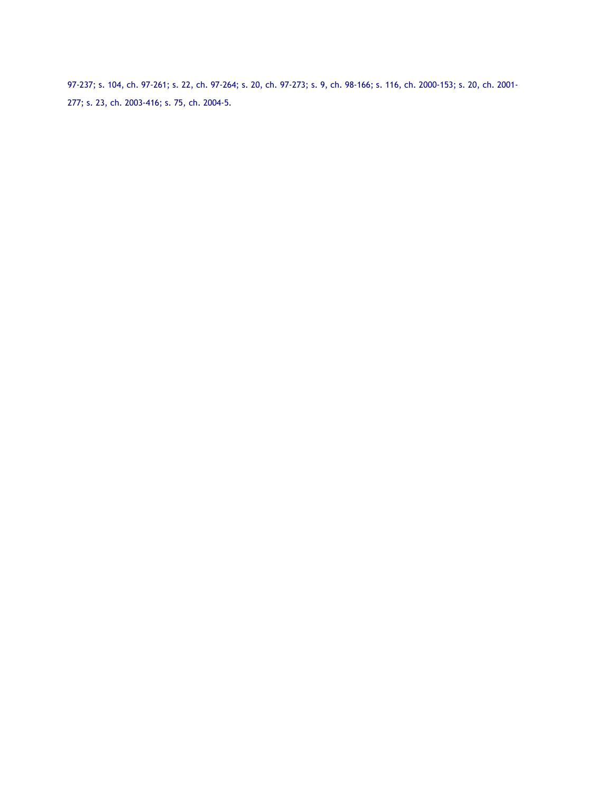97-237; s. 104, ch. 97-261; s. 22, ch. 97-264; s. 20, ch. 97-273; s. 9, ch. 98-166; s. 116, ch. 2000-153; s. 20, ch. 2001- 277; s. 23, ch. 2003-416; s. 75, ch. 2004-5.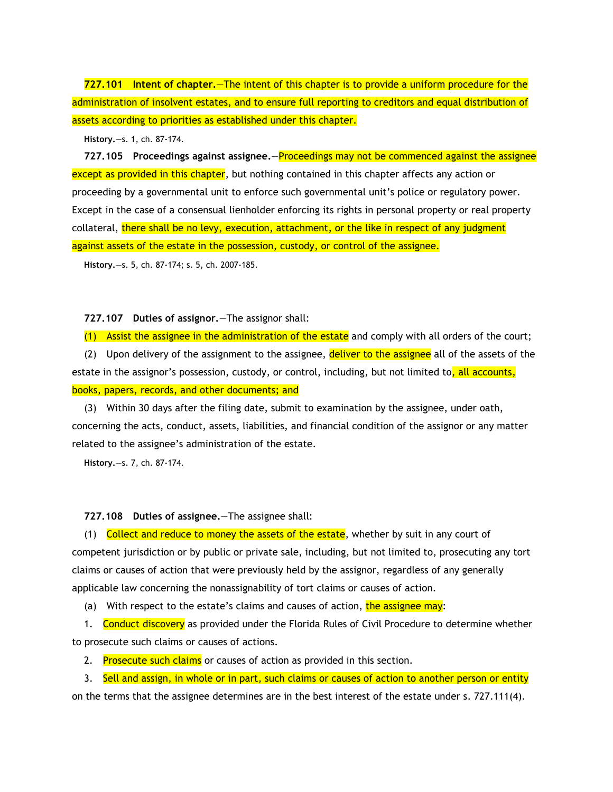**727.101 Intent of chapter.**—The intent of this chapter is to provide a uniform procedure for the administration of insolvent estates, and to ensure full reporting to creditors and equal distribution of assets according to priorities as established under this chapter.

**History.**—s. 1, ch. 87-174.

**727.105 Proceedings against assignee.**—Proceedings may not be commenced against the assignee except as provided in this chapter, but nothing contained in this chapter affects any action or proceeding by a governmental unit to enforce such governmental unit's police or regulatory power. Except in the case of a consensual lienholder enforcing its rights in personal property or real property collateral, there shall be no levy, execution, attachment, or the like in respect of any judgment against assets of the estate in the possession, custody, or control of the assignee.

**History.**—s. 5, ch. 87-174; s. 5, ch. 2007-185.

**727.107 Duties of assignor.**—The assignor shall:

(1) Assist the assignee in the administration of the estate and comply with all orders of the court;

(2) Upon delivery of the assignment to the assignee, deliver to the assignee all of the assets of the estate in the assignor's possession, custody, or control, including, but not limited to, all accounts, books, papers, records, and other documents; and

(3) Within 30 days after the filing date, submit to examination by the assignee, under oath, concerning the acts, conduct, assets, liabilities, and financial condition of the assignor or any matter related to the assignee's administration of the estate.

**History.**—s. 7, ch. 87-174.

**727.108 Duties of assignee.**—The assignee shall:

(1) Collect and reduce to money the assets of the estate, whether by suit in any court of competent jurisdiction or by public or private sale, including, but not limited to, prosecuting any tort claims or causes of action that were previously held by the assignor, regardless of any generally applicable law concerning the nonassignability of tort claims or causes of action.

(a) With respect to the estate's claims and causes of action, the assignee  $\text{may:}$ 

1. Conduct discovery as provided under the Florida Rules of Civil Procedure to determine whether to prosecute such claims or causes of actions.

2. Prosecute such claims or causes of action as provided in this section.

3. Sell and assign, in whole or in part, such claims or causes of action to another person or entity

on the terms that the assignee determines are in the best interest of the estate under s. 727.111(4).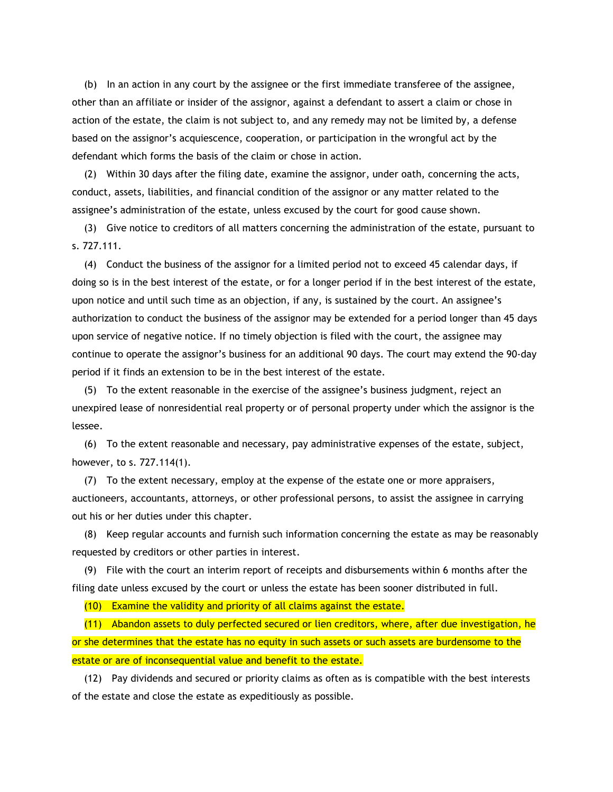(b) In an action in any court by the assignee or the first immediate transferee of the assignee, other than an affiliate or insider of the assignor, against a defendant to assert a claim or chose in action of the estate, the claim is not subject to, and any remedy may not be limited by, a defense based on the assignor's acquiescence, cooperation, or participation in the wrongful act by the defendant which forms the basis of the claim or chose in action.

(2) Within 30 days after the filing date, examine the assignor, under oath, concerning the acts, conduct, assets, liabilities, and financial condition of the assignor or any matter related to the assignee's administration of the estate, unless excused by the court for good cause shown.

(3) Give notice to creditors of all matters concerning the administration of the estate, pursuant to s. 727.111.

(4) Conduct the business of the assignor for a limited period not to exceed 45 calendar days, if doing so is in the best interest of the estate, or for a longer period if in the best interest of the estate, upon notice and until such time as an objection, if any, is sustained by the court. An assignee's authorization to conduct the business of the assignor may be extended for a period longer than 45 days upon service of negative notice. If no timely objection is filed with the court, the assignee may continue to operate the assignor's business for an additional 90 days. The court may extend the 90-day period if it finds an extension to be in the best interest of the estate.

(5) To the extent reasonable in the exercise of the assignee's business judgment, reject an unexpired lease of nonresidential real property or of personal property under which the assignor is the lessee.

(6) To the extent reasonable and necessary, pay administrative expenses of the estate, subject, however, to s. 727.114(1).

(7) To the extent necessary, employ at the expense of the estate one or more appraisers, auctioneers, accountants, attorneys, or other professional persons, to assist the assignee in carrying out his or her duties under this chapter.

(8) Keep regular accounts and furnish such information concerning the estate as may be reasonably requested by creditors or other parties in interest.

(9) File with the court an interim report of receipts and disbursements within 6 months after the filing date unless excused by the court or unless the estate has been sooner distributed in full.

(10) Examine the validity and priority of all claims against the estate.

(11) Abandon assets to duly perfected secured or lien creditors, where, after due investigation, he or she determines that the estate has no equity in such assets or such assets are burdensome to the estate or are of inconsequential value and benefit to the estate.

(12) Pay dividends and secured or priority claims as often as is compatible with the best interests of the estate and close the estate as expeditiously as possible.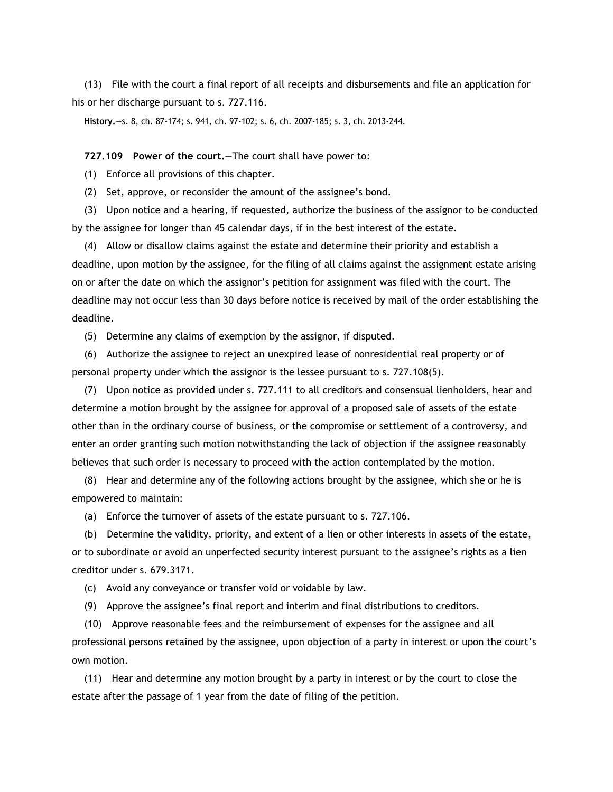(13) File with the court a final report of all receipts and disbursements and file an application for his or her discharge pursuant to s. 727.116.

**History.**—s. 8, ch. 87-174; s. 941, ch. 97-102; s. 6, ch. 2007-185; s. 3, ch. 2013-244.

**727.109 Power of the court.**—The court shall have power to:

(1) Enforce all provisions of this chapter.

(2) Set, approve, or reconsider the amount of the assignee's bond.

(3) Upon notice and a hearing, if requested, authorize the business of the assignor to be conducted by the assignee for longer than 45 calendar days, if in the best interest of the estate.

(4) Allow or disallow claims against the estate and determine their priority and establish a deadline, upon motion by the assignee, for the filing of all claims against the assignment estate arising on or after the date on which the assignor's petition for assignment was filed with the court. The deadline may not occur less than 30 days before notice is received by mail of the order establishing the deadline.

(5) Determine any claims of exemption by the assignor, if disputed.

(6) Authorize the assignee to reject an unexpired lease of nonresidential real property or of personal property under which the assignor is the lessee pursuant to s. 727.108(5).

(7) Upon notice as provided under s. 727.111 to all creditors and consensual lienholders, hear and determine a motion brought by the assignee for approval of a proposed sale of assets of the estate other than in the ordinary course of business, or the compromise or settlement of a controversy, and enter an order granting such motion notwithstanding the lack of objection if the assignee reasonably believes that such order is necessary to proceed with the action contemplated by the motion.

(8) Hear and determine any of the following actions brought by the assignee, which she or he is empowered to maintain:

(a) Enforce the turnover of assets of the estate pursuant to s. 727.106.

(b) Determine the validity, priority, and extent of a lien or other interests in assets of the estate, or to subordinate or avoid an unperfected security interest pursuant to the assignee's rights as a lien creditor under s. 679.3171.

(c) Avoid any conveyance or transfer void or voidable by law.

(9) Approve the assignee's final report and interim and final distributions to creditors.

(10) Approve reasonable fees and the reimbursement of expenses for the assignee and all professional persons retained by the assignee, upon objection of a party in interest or upon the court's own motion.

(11) Hear and determine any motion brought by a party in interest or by the court to close the estate after the passage of 1 year from the date of filing of the petition.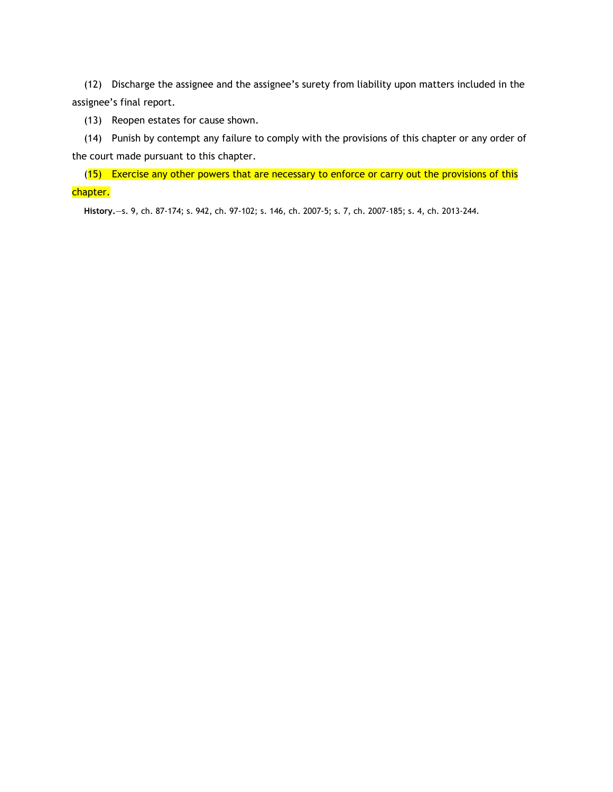(12) Discharge the assignee and the assignee's surety from liability upon matters included in the assignee's final report.

(13) Reopen estates for cause shown.

(14) Punish by contempt any failure to comply with the provisions of this chapter or any order of the court made pursuant to this chapter.

(15) Exercise any other powers that are necessary to enforce or carry out the provisions of this chapter.

**History.**—s. 9, ch. 87-174; s. 942, ch. 97-102; s. 146, ch. 2007-5; s. 7, ch. 2007-185; s. 4, ch. 2013-244.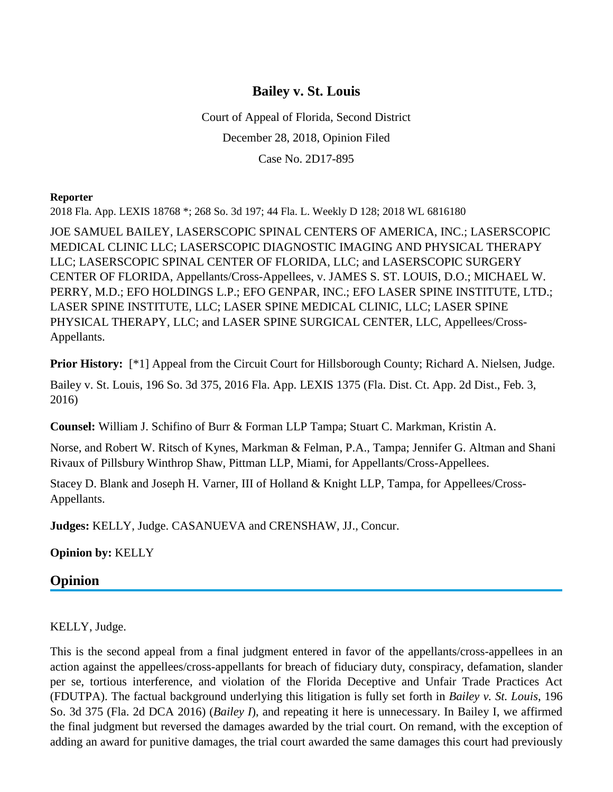# **Bailey v. St. Louis**

Court of Appeal of Florida, Second District December 28, 2018, Opinion Filed Case No. 2D17-895

### **Reporter**

2018 Fla. App. LEXIS 18768 \*; 268 So. 3d 197; 44 Fla. L. Weekly D 128; 2018 WL 6816180

JOE SAMUEL BAILEY, LASERSCOPIC SPINAL CENTERS OF AMERICA, INC.; LASERSCOPIC MEDICAL CLINIC LLC; LASERSCOPIC DIAGNOSTIC IMAGING AND PHYSICAL THERAPY LLC; LASERSCOPIC SPINAL CENTER OF FLORIDA, LLC; and LASERSCOPIC SURGERY CENTER OF FLORIDA, Appellants/Cross-Appellees, v. JAMES S. ST. LOUIS, D.O.; MICHAEL W. PERRY, M.D.; EFO HOLDINGS L.P.; EFO GENPAR, INC.; EFO LASER SPINE INSTITUTE, LTD.; LASER SPINE INSTITUTE, LLC; LASER SPINE MEDICAL CLINIC, LLC; LASER SPINE PHYSICAL THERAPY, LLC; and LASER SPINE SURGICAL CENTER, LLC, Appellees/Cross-Appellants.

**Prior History:** [\*1] Appeal from the Circuit Court for Hillsborough County; Richard A. Nielsen, Judge.

Bailey v. St. Louis, 196 So. 3d 375, 2016 Fla. App. LEXIS 1375 (Fla. Dist. Ct. App. 2d Dist., Feb. 3, 2016)

**Counsel:** William J. Schifino of Burr & Forman LLP Tampa; Stuart C. Markman, Kristin A.

Norse, and Robert W. Ritsch of Kynes, Markman & Felman, P.A., Tampa; Jennifer G. Altman and Shani Rivaux of Pillsbury Winthrop Shaw, Pittman LLP, Miami, for Appellants/Cross-Appellees.

Stacey D. Blank and Joseph H. Varner, III of Holland & Knight LLP, Tampa, for Appellees/Cross-Appellants.

**Judges:** KELLY, Judge. CASANUEVA and CRENSHAW, JJ., Concur.

**Opinion by:** KELLY

## **Opinion**

### KELLY, Judge.

This is the second appeal from a final judgment entered in favor of the appellants/cross-appellees in an action against the appellees/cross-appellants for breach of fiduciary duty, conspiracy, defamation, slander per se, tortious interference, and violation of the Florida Deceptive and Unfair Trade Practices Act (FDUTPA). The factual background underlying this litigation is fully set forth in *Bailey v. St. Louis*, 196 So. 3d 375 (Fla. 2d DCA 2016) (*Bailey I*), and repeating it here is unnecessary. In Bailey I, we affirmed the final judgment but reversed the damages awarded by the trial court. On remand, with the exception of adding an award for punitive damages, the trial court awarded the same damages this court had previously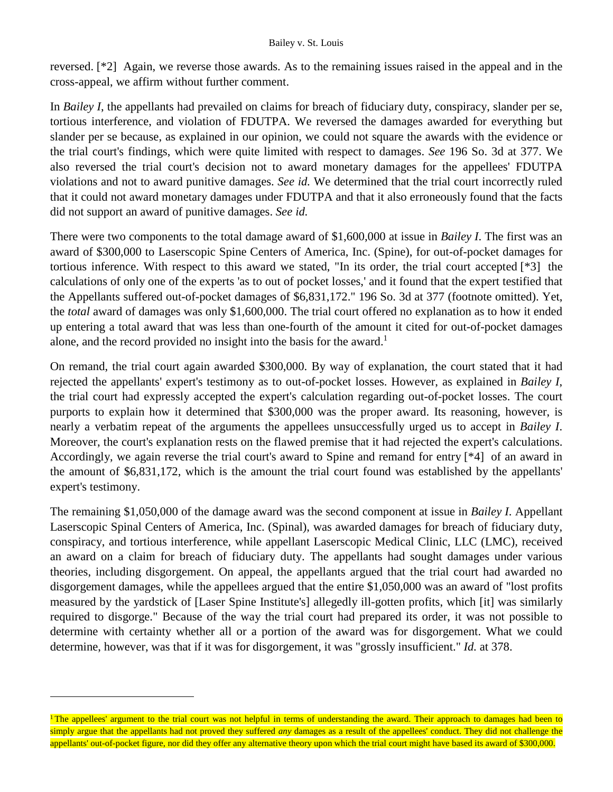reversed. [\*2] Again, we reverse those awards. As to the remaining issues raised in the appeal and in the cross-appeal, we affirm without further comment.

In *Bailey I*, the appellants had prevailed on claims for breach of fiduciary duty, conspiracy, slander per se, tortious interference, and violation of FDUTPA. We reversed the damages awarded for everything but slander per se because, as explained in our opinion, we could not square the awards with the evidence or the trial court's findings, which were quite limited with respect to damages. *See* 196 So. 3d at 377. We also reversed the trial court's decision not to award monetary damages for the appellees' FDUTPA violations and not to award punitive damages. *See id.* We determined that the trial court incorrectly ruled that it could not award monetary damages under FDUTPA and that it also erroneously found that the facts did not support an award of punitive damages. *See id.*

There were two components to the total damage award of \$1,600,000 at issue in *Bailey I*. The first was an award of \$300,000 to Laserscopic Spine Centers of America, Inc. (Spine), for out-of-pocket damages for tortious inference. With respect to this award we stated, "In its order, the trial court accepted [\*3] the calculations of only one of the experts 'as to out of pocket losses,' and it found that the expert testified that the Appellants suffered out-of-pocket damages of \$6,831,172." 196 So. 3d at 377 (footnote omitted). Yet, the *total* award of damages was only \$1,600,000. The trial court offered no explanation as to how it ended up entering a total award that was less than one-fourth of the amount it cited for out-of-pocket damages alone, and the record provided no insight into the basis for the award.<sup>1</sup>

On remand, the trial court again awarded \$300,000. By way of explanation, the court stated that it had rejected the appellants' expert's testimony as to out-of-pocket losses. However, as explained in *Bailey I*, the trial court had expressly accepted the expert's calculation regarding out-of-pocket losses. The court purports to explain how it determined that \$300,000 was the proper award. Its reasoning, however, is nearly a verbatim repeat of the arguments the appellees unsuccessfully urged us to accept in *Bailey I*. Moreover, the court's explanation rests on the flawed premise that it had rejected the expert's calculations. Accordingly, we again reverse the trial court's award to Spine and remand for entry [\*4] of an award in the amount of \$6,831,172, which is the amount the trial court found was established by the appellants' expert's testimony.

The remaining \$1,050,000 of the damage award was the second component at issue in *Bailey I*. Appellant Laserscopic Spinal Centers of America, Inc. (Spinal), was awarded damages for breach of fiduciary duty, conspiracy, and tortious interference, while appellant Laserscopic Medical Clinic, LLC (LMC), received an award on a claim for breach of fiduciary duty. The appellants had sought damages under various theories, including disgorgement. On appeal, the appellants argued that the trial court had awarded no disgorgement damages, while the appellees argued that the entire \$1,050,000 was an award of "lost profits measured by the yardstick of [Laser Spine Institute's] allegedly ill-gotten profits, which [it] was similarly required to disgorge." Because of the way the trial court had prepared its order, it was not possible to determine with certainty whether all or a portion of the award was for disgorgement. What we could determine, however, was that if it was for disgorgement, it was "grossly insufficient." *Id.* at 378.

<sup>&</sup>lt;sup>1</sup> The appellees' argument to the trial court was not helpful in terms of understanding the award. Their approach to damages had been to simply argue that the appellants had not proved they suffered *any* damages as a result of the appellees' conduct. They did not challenge the appellants' out-of-pocket figure, nor did they offer any alternative theory upon which the trial court might have based its award of \$300,000.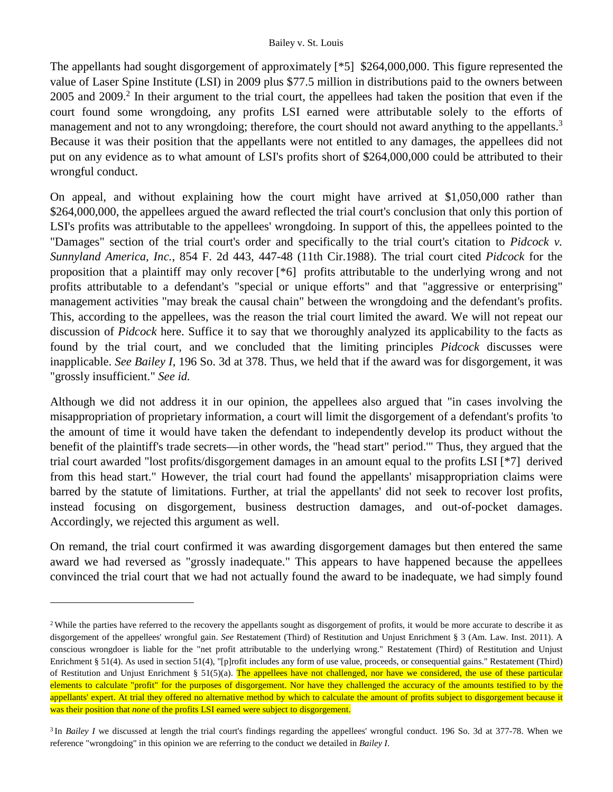The appellants had sought disgorgement of approximately [\*5] \$264,000,000. This figure represented the value of Laser Spine Institute (LSI) in 2009 plus \$77.5 million in distributions paid to the owners between 2005 and 2009.<sup>2</sup> In their argument to the trial court, the appellees had taken the position that even if the court found some wrongdoing, any profits LSI earned were attributable solely to the efforts of management and not to any wrongdoing; therefore, the court should not award anything to the appellants.<sup>3</sup> Because it was their position that the appellants were not entitled to any damages, the appellees did not put on any evidence as to what amount of LSI's profits short of \$264,000,000 could be attributed to their wrongful conduct.

On appeal, and without explaining how the court might have arrived at \$1,050,000 rather than \$264,000,000, the appellees argued the award reflected the trial court's conclusion that only this portion of LSI's profits was attributable to the appellees' wrongdoing. In support of this, the appellees pointed to the "Damages" section of the trial court's order and specifically to the trial court's citation to *Pidcock v. Sunnyland America, Inc.*, 854 F. 2d 443, 447-48 (11th Cir.1988). The trial court cited *Pidcock* for the proposition that a plaintiff may only recover [\*6] profits attributable to the underlying wrong and not profits attributable to a defendant's "special or unique efforts" and that "aggressive or enterprising" management activities "may break the causal chain" between the wrongdoing and the defendant's profits. This, according to the appellees, was the reason the trial court limited the award. We will not repeat our discussion of *Pidcock* here. Suffice it to say that we thoroughly analyzed its applicability to the facts as found by the trial court, and we concluded that the limiting principles *Pidcock* discusses were inapplicable. *See Bailey I*, 196 So. 3d at 378. Thus, we held that if the award was for disgorgement, it was "grossly insufficient." *See id.*

Although we did not address it in our opinion, the appellees also argued that "in cases involving the misappropriation of proprietary information, a court will limit the disgorgement of a defendant's profits 'to the amount of time it would have taken the defendant to independently develop its product without the benefit of the plaintiff's trade secrets—in other words, the "head start" period.'" Thus, they argued that the trial court awarded "lost profits/disgorgement damages in an amount equal to the profits LSI [\*7] derived from this head start." However, the trial court had found the appellants' misappropriation claims were barred by the statute of limitations. Further, at trial the appellants' did not seek to recover lost profits, instead focusing on disgorgement, business destruction damages, and out-of-pocket damages. Accordingly, we rejected this argument as well.

On remand, the trial court confirmed it was awarding disgorgement damages but then entered the same award we had reversed as "grossly inadequate." This appears to have happened because the appellees convinced the trial court that we had not actually found the award to be inadequate, we had simply found

<sup>&</sup>lt;sup>2</sup> While the parties have referred to the recovery the appellants sought as disgorgement of profits, it would be more accurate to describe it as disgorgement of the appellees' wrongful gain. *See* Restatement (Third) of Restitution and Unjust Enrichment § 3 (Am. Law. Inst. 2011). A conscious wrongdoer is liable for the "net profit attributable to the underlying wrong." Restatement (Third) of Restitution and Unjust Enrichment § 51(4). As used in section 51(4), "[p]rofit includes any form of use value, proceeds, or consequential gains." Restatement (Third) of Restitution and Unjust Enrichment  $\S$  51(5)(a). The appellees have not challenged, nor have we considered, the use of these particular elements to calculate "profit" for the purposes of disgorgement. Nor have they challenged the accuracy of the amounts testified to by the appellants' expert. At trial they offered no alternative method by which to calculate the amount of profits subject to disgorgement because it was their position that *none* of the profits LSI earned were subject to disgorgement.

<sup>&</sup>lt;sup>3</sup> In *Bailey I* we discussed at length the trial court's findings regarding the appellees' wrongful conduct. 196 So. 3d at 377-78. When we reference "wrongdoing" in this opinion we are referring to the conduct we detailed in *Bailey I*.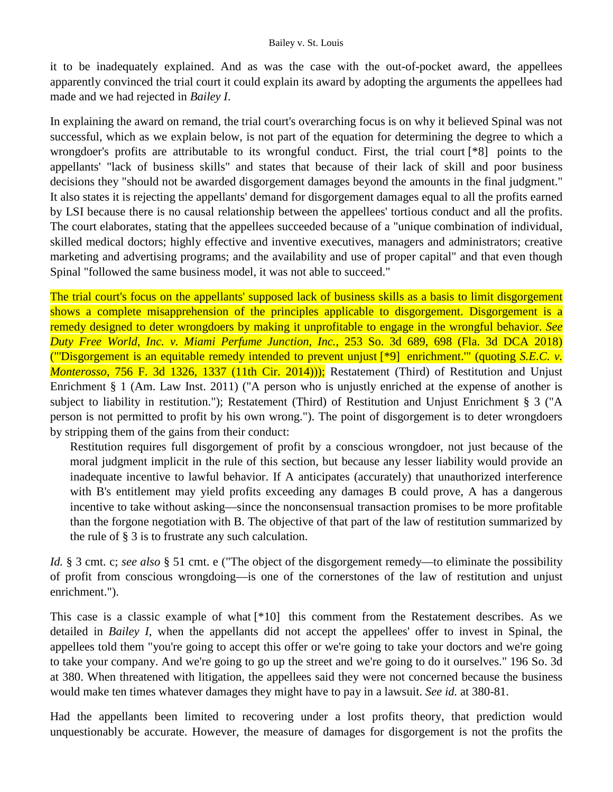it to be inadequately explained. And as was the case with the out-of-pocket award, the appellees apparently convinced the trial court it could explain its award by adopting the arguments the appellees had made and we had rejected in *Bailey I*.

In explaining the award on remand, the trial court's overarching focus is on why it believed Spinal was not successful, which as we explain below, is not part of the equation for determining the degree to which a wrongdoer's profits are attributable to its wrongful conduct. First, the trial court [\*8] points to the appellants' "lack of business skills" and states that because of their lack of skill and poor business decisions they "should not be awarded disgorgement damages beyond the amounts in the final judgment." It also states it is rejecting the appellants' demand for disgorgement damages equal to all the profits earned by LSI because there is no causal relationship between the appellees' tortious conduct and all the profits. The court elaborates, stating that the appellees succeeded because of a "unique combination of individual, skilled medical doctors; highly effective and inventive executives, managers and administrators; creative marketing and advertising programs; and the availability and use of proper capital" and that even though Spinal "followed the same business model, it was not able to succeed."

The trial court's focus on the appellants' supposed lack of business skills as a basis to limit disgorgement shows a complete misapprehension of the principles applicable to disgorgement. Disgorgement is a remedy designed to deter wrongdoers by making it unprofitable to engage in the wrongful behavior. *See Duty Free World, Inc. v. Miami Perfume Junction, Inc.*, 253 So. 3d 689, 698 (Fla. 3d DCA 2018) ("'Disgorgement is an equitable remedy intended to prevent unjust [\*9] enrichment.'" (quoting *S.E.C. v. Monterosso*, 756 F. 3d 1326, 1337 (11th Cir. 2014))); Restatement (Third) of Restitution and Unjust Enrichment § 1 (Am. Law Inst. 2011) ("A person who is unjustly enriched at the expense of another is subject to liability in restitution."); Restatement (Third) of Restitution and Unjust Enrichment § 3 ("A person is not permitted to profit by his own wrong."). The point of disgorgement is to deter wrongdoers by stripping them of the gains from their conduct:

Restitution requires full disgorgement of profit by a conscious wrongdoer, not just because of the moral judgment implicit in the rule of this section, but because any lesser liability would provide an inadequate incentive to lawful behavior. If A anticipates (accurately) that unauthorized interference with B's entitlement may yield profits exceeding any damages B could prove, A has a dangerous incentive to take without asking—since the nonconsensual transaction promises to be more profitable than the forgone negotiation with B. The objective of that part of the law of restitution summarized by the rule of § 3 is to frustrate any such calculation.

*Id.* § 3 cmt. c; *see also* § 51 cmt. e ("The object of the disgorgement remedy—to eliminate the possibility of profit from conscious wrongdoing—is one of the cornerstones of the law of restitution and unjust enrichment.").

This case is a classic example of what [\*10] this comment from the Restatement describes. As we detailed in *Bailey I*, when the appellants did not accept the appellees' offer to invest in Spinal, the appellees told them "you're going to accept this offer or we're going to take your doctors and we're going to take your company. And we're going to go up the street and we're going to do it ourselves." 196 So. 3d at 380. When threatened with litigation, the appellees said they were not concerned because the business would make ten times whatever damages they might have to pay in a lawsuit. *See id.* at 380-81.

Had the appellants been limited to recovering under a lost profits theory, that prediction would unquestionably be accurate. However, the measure of damages for disgorgement is not the profits the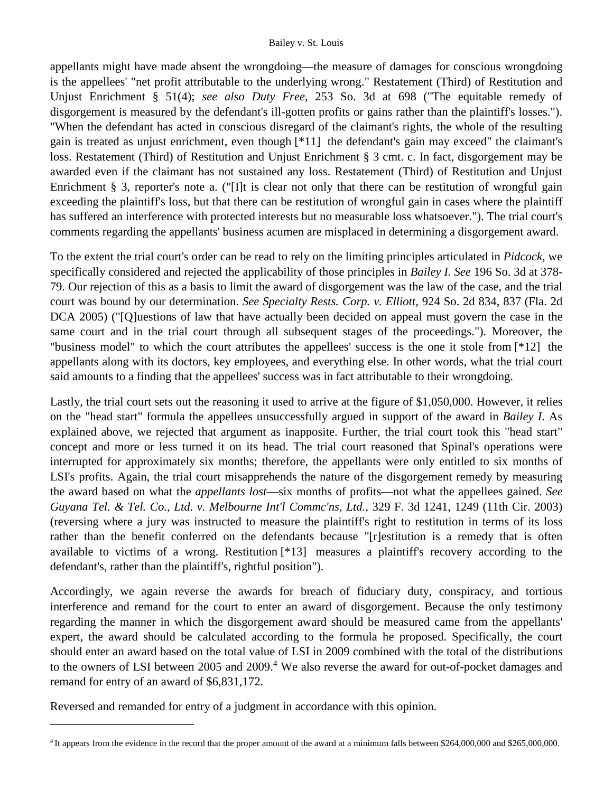appellants might have made absent the wrongdoing—the measure of damages for conscious wrongdoing is the appellees' "net profit attributable to the underlying wrong." Restatement (Third) of Restitution and Unjust Enrichment § 51(4); *see also Duty Free*, 253 So. 3d at 698 ("The equitable remedy of disgorgement is measured by the defendant's ill-gotten profits or gains rather than the plaintiff's losses."). "When the defendant has acted in conscious disregard of the claimant's rights, the whole of the resulting gain is treated as unjust enrichment, even though [\*11] the defendant's gain may exceed" the claimant's loss. Restatement (Third) of Restitution and Unjust Enrichment § 3 cmt. c. In fact, disgorgement may be awarded even if the claimant has not sustained any loss. Restatement (Third) of Restitution and Unjust Enrichment § 3, reporter's note a. ("[I]t is clear not only that there can be restitution of wrongful gain exceeding the plaintiff's loss, but that there can be restitution of wrongful gain in cases where the plaintiff has suffered an interference with protected interests but no measurable loss whatsoever."). The trial court's comments regarding the appellants' business acumen are misplaced in determining a disgorgement award.

To the extent the trial court's order can be read to rely on the limiting principles articulated in *Pidcock*, we specifically considered and rejected the applicability of those principles in *Bailey I. See* 196 So. 3d at 378- 79. Our rejection of this as a basis to limit the award of disgorgement was the law of the case, and the trial court was bound by our determination. *See Specialty Rests. Corp. v. Elliott*, 924 So. 2d 834, 837 (Fla. 2d DCA 2005) ("[Q]uestions of law that have actually been decided on appeal must govern the case in the same court and in the trial court through all subsequent stages of the proceedings."). Moreover, the "business model" to which the court attributes the appellees' success is the one it stole from [\*12] the appellants along with its doctors, key employees, and everything else. In other words, what the trial court said amounts to a finding that the appellees' success was in fact attributable to their wrongdoing.

Lastly, the trial court sets out the reasoning it used to arrive at the figure of \$1,050,000. However, it relies on the "head start" formula the appellees unsuccessfully argued in support of the award in *Bailey I*. As explained above, we rejected that argument as inapposite. Further, the trial court took this "head start" concept and more or less turned it on its head. The trial court reasoned that Spinal's operations were interrupted for approximately six months; therefore, the appellants were only entitled to six months of LSI's profits. Again, the trial court misapprehends the nature of the disgorgement remedy by measuring the award based on what the *appellants lost*—six months of profits—not what the appellees gained. *See Guyana Tel. & Tel. Co., Ltd. v. Melbourne Int'l Commc'ns, Ltd.*, 329 F. 3d 1241, 1249 (11th Cir. 2003) (reversing where a jury was instructed to measure the plaintiff's right to restitution in terms of its loss rather than the benefit conferred on the defendants because "[r]estitution is a remedy that is often available to victims of a wrong. Restitution [\*13] measures a plaintiff's recovery according to the defendant's, rather than the plaintiff's, rightful position").

Accordingly, we again reverse the awards for breach of fiduciary duty, conspiracy, and tortious interference and remand for the court to enter an award of disgorgement. Because the only testimony regarding the manner in which the disgorgement award should be measured came from the appellants' expert, the award should be calculated according to the formula he proposed. Specifically, the court should enter an award based on the total value of LSI in 2009 combined with the total of the distributions to the owners of LSI between 2005 and 2009.<sup>4</sup> We also reverse the award for out-of-pocket damages and remand for entry of an award of \$6,831,172.

Reversed and remanded for entry of a judgment in accordance with this opinion.

<sup>4</sup> It appears from the evidence in the record that the proper amount of the award at a minimum falls between \$264,000,000 and \$265,000,000.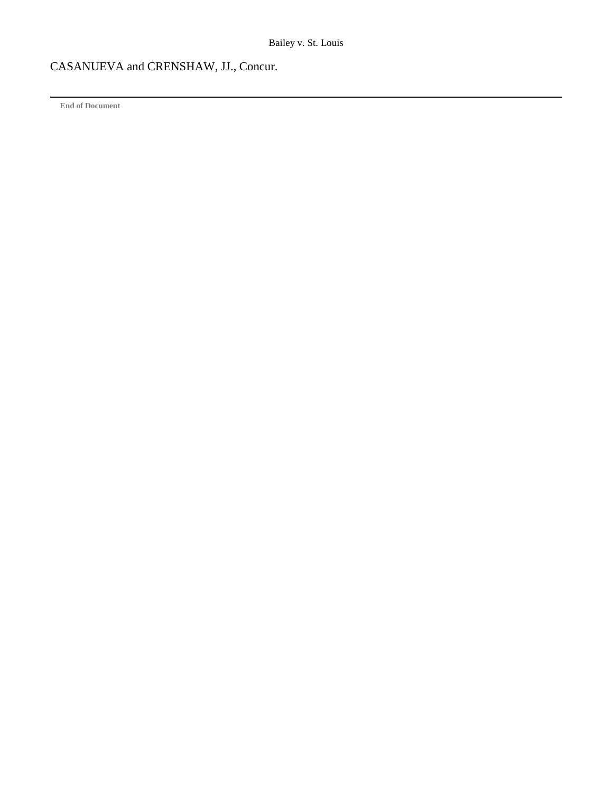# CASANUEVA and CRENSHAW, JJ., Concur.

**End of Document**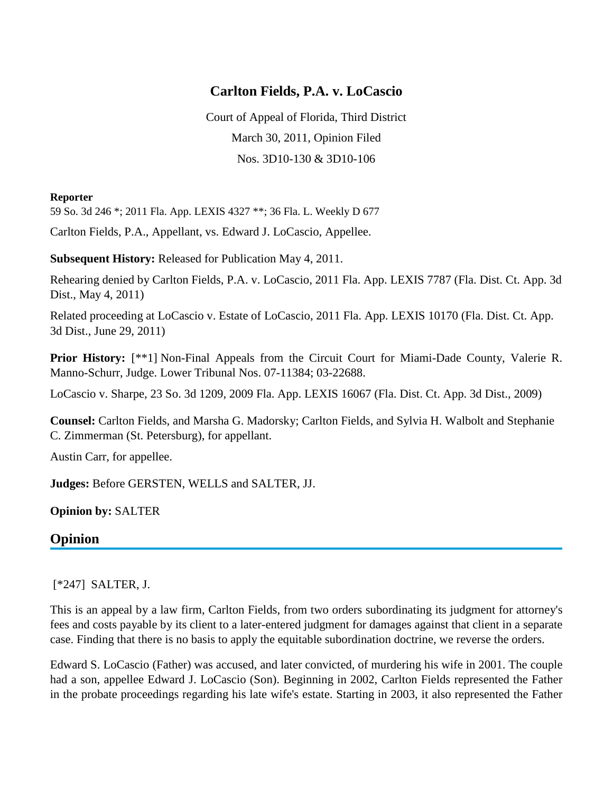# **Carlton Fields, P.A. v. LoCascio**

Court of Appeal of Florida, Third District March 30, 2011, Opinion Filed Nos. 3D10-130 & 3D10-106

### **Reporter**

59 So. 3d 246 \*; 2011 Fla. App. LEXIS 4327 \*\*; 36 Fla. L. Weekly D 677

Carlton Fields, P.A., Appellant, vs. Edward J. LoCascio, Appellee.

**Subsequent History:** Released for Publication May 4, 2011.

Rehearing denied by Carlton Fields, P.A. v. LoCascio, 2011 Fla. App. LEXIS 7787 (Fla. Dist. Ct. App. 3d Dist., May 4, 2011)

Related proceeding at LoCascio v. Estate of LoCascio, 2011 Fla. App. LEXIS 10170 (Fla. Dist. Ct. App. 3d Dist., June 29, 2011)

**Prior History:** [\*\*1] Non-Final Appeals from the Circuit Court for Miami-Dade County, Valerie R. Manno-Schurr, Judge. Lower Tribunal Nos. 07-11384; 03-22688.

LoCascio v. Sharpe, 23 So. 3d 1209, 2009 Fla. App. LEXIS 16067 (Fla. Dist. Ct. App. 3d Dist., 2009)

**Counsel:** Carlton Fields, and Marsha G. Madorsky; Carlton Fields, and Sylvia H. Walbolt and Stephanie C. Zimmerman (St. Petersburg), for appellant.

Austin Carr, for appellee.

**Judges:** Before GERSTEN, WELLS and SALTER, JJ.

**Opinion by:** SALTER

## **Opinion**

### [\*247] SALTER, J.

This is an appeal by a law firm, Carlton Fields, from two orders subordinating its judgment for attorney's fees and costs payable by its client to a later-entered judgment for damages against that client in a separate case. Finding that there is no basis to apply the equitable subordination doctrine, we reverse the orders.

Edward S. LoCascio (Father) was accused, and later convicted, of murdering his wife in 2001. The couple had a son, appellee Edward J. LoCascio (Son). Beginning in 2002, Carlton Fields represented the Father in the probate proceedings regarding his late wife's estate. Starting in 2003, it also represented the Father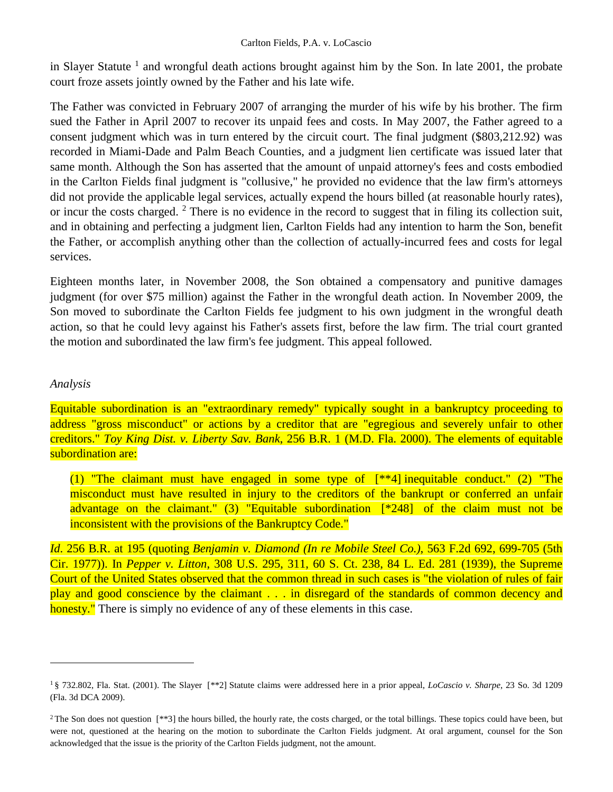#### Carlton Fields, P.A. v. LoCascio

in Slayer Statute<sup>1</sup> and wrongful death actions brought against him by the Son. In late 2001, the probate court froze assets jointly owned by the Father and his late wife.

The Father was convicted in February 2007 of arranging the murder of his wife by his brother. The firm sued the Father in April 2007 to recover its unpaid fees and costs. In May 2007, the Father agreed to a consent judgment which was in turn entered by the circuit court. The final judgment (\$803,212.92) was recorded in Miami-Dade and Palm Beach Counties, and a judgment lien certificate was issued later that same month. Although the Son has asserted that the amount of unpaid attorney's fees and costs embodied in the Carlton Fields final judgment is "collusive," he provided no evidence that the law firm's attorneys did not provide the applicable legal services, actually expend the hours billed (at reasonable hourly rates), or incur the costs charged. <sup>2</sup> There is no evidence in the record to suggest that in filing its collection suit, and in obtaining and perfecting a judgment lien, Carlton Fields had any intention to harm the Son, benefit the Father, or accomplish anything other than the collection of actually-incurred fees and costs for legal services.

Eighteen months later, in November 2008, the Son obtained a compensatory and punitive damages judgment (for over \$75 million) against the Father in the wrongful death action. In November 2009, the Son moved to subordinate the Carlton Fields fee judgment to his own judgment in the wrongful death action, so that he could levy against his Father's assets first, before the law firm. The trial court granted the motion and subordinated the law firm's fee judgment. This appeal followed.

### *Analysis*

Equitable subordination is an "extraordinary remedy" typically sought in a bankruptcy proceeding to address "gross misconduct" or actions by a creditor that are "egregious and severely unfair to other creditors." *Toy King Dist. v. Liberty Sav. Bank*, 256 B.R. 1 (M.D. Fla. 2000). The elements of equitable subordination are:

(1) "The claimant must have engaged in some type of  $[**4]$  inequitable conduct." (2) "The misconduct must have resulted in injury to the creditors of the bankrupt or conferred an unfair advantage on the claimant." (3) "Equitable subordination [\*248] of the claim must not be inconsistent with the provisions of the Bankruptcy Code."

*Id*. 256 B.R. at 195 (quoting *Benjamin v. Diamond (In re Mobile Steel Co.)*, 563 F.2d 692, 699-705 (5th Cir. 1977)). In *Pepper v. Litton*, 308 U.S. 295, 311, 60 S. Ct. 238, 84 L. Ed. 281 (1939), the Supreme Court of the United States observed that the common thread in such cases is "the violation of rules of fair play and good conscience by the claimant . . . in disregard of the standards of common decency and honesty." There is simply no evidence of any of these elements in this case.

<sup>1</sup> § 732.802, Fla. Stat. (2001). The Slayer [\*\*2] Statute claims were addressed here in a prior appeal, *LoCascio v. Sharpe*, 23 So. 3d 1209 (Fla. 3d DCA 2009).

<sup>&</sup>lt;sup>2</sup> The Son does not question  $[**3]$  the hours billed, the hourly rate, the costs charged, or the total billings. These topics could have been, but were not, questioned at the hearing on the motion to subordinate the Carlton Fields judgment. At oral argument, counsel for the Son acknowledged that the issue is the priority of the Carlton Fields judgment, not the amount.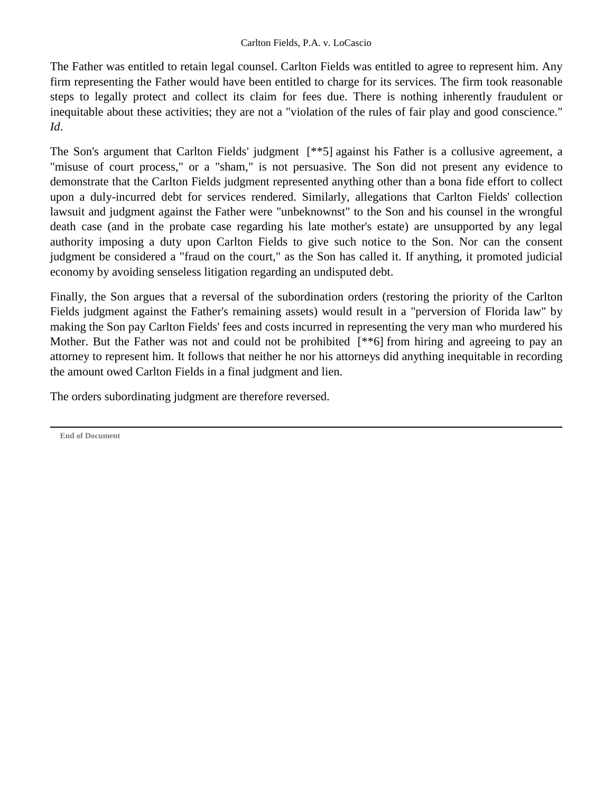The Father was entitled to retain legal counsel. Carlton Fields was entitled to agree to represent him. Any firm representing the Father would have been entitled to charge for its services. The firm took reasonable steps to legally protect and collect its claim for fees due. There is nothing inherently fraudulent or inequitable about these activities; they are not a "violation of the rules of fair play and good conscience." *Id*.

The Son's argument that Carlton Fields' judgment [\*\*5] against his Father is a collusive agreement, a "misuse of court process," or a "sham," is not persuasive. The Son did not present any evidence to demonstrate that the Carlton Fields judgment represented anything other than a bona fide effort to collect upon a duly-incurred debt for services rendered. Similarly, allegations that Carlton Fields' collection lawsuit and judgment against the Father were "unbeknownst" to the Son and his counsel in the wrongful death case (and in the probate case regarding his late mother's estate) are unsupported by any legal authority imposing a duty upon Carlton Fields to give such notice to the Son. Nor can the consent judgment be considered a "fraud on the court," as the Son has called it. If anything, it promoted judicial economy by avoiding senseless litigation regarding an undisputed debt.

Finally, the Son argues that a reversal of the subordination orders (restoring the priority of the Carlton Fields judgment against the Father's remaining assets) would result in a "perversion of Florida law" by making the Son pay Carlton Fields' fees and costs incurred in representing the very man who murdered his Mother. But the Father was not and could not be prohibited [\*\*6] from hiring and agreeing to pay an attorney to represent him. It follows that neither he nor his attorneys did anything inequitable in recording the amount owed Carlton Fields in a final judgment and lien.

The orders subordinating judgment are therefore reversed.

**End of Document**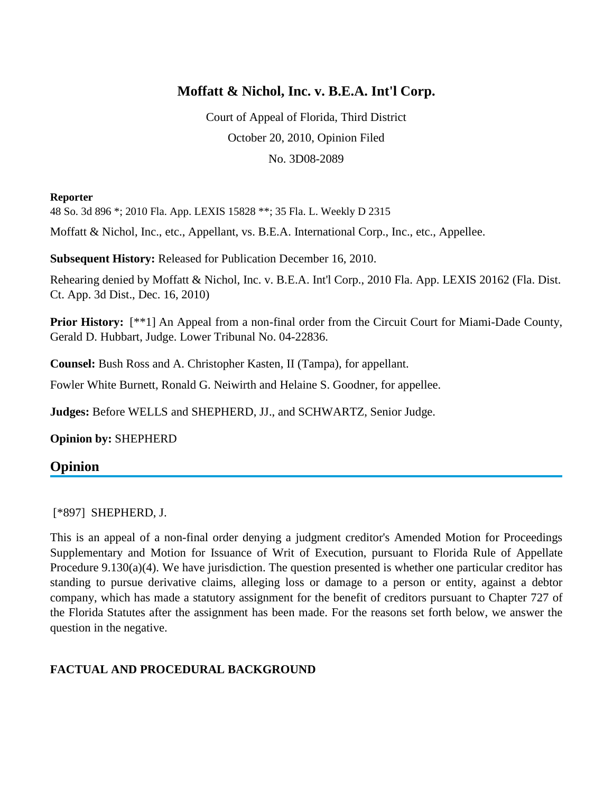# **Moffatt & Nichol, Inc. v. B.E.A. Int'l Corp.**

Court of Appeal of Florida, Third District October 20, 2010, Opinion Filed No. 3D08-2089

#### **Reporter**

48 So. 3d 896 \*; 2010 Fla. App. LEXIS 15828 \*\*; 35 Fla. L. Weekly D 2315

Moffatt & Nichol, Inc., etc., Appellant, vs. B.E.A. International Corp., Inc., etc., Appellee.

**Subsequent History:** Released for Publication December 16, 2010.

Rehearing denied by Moffatt & Nichol, Inc. v. B.E.A. Int'l Corp., 2010 Fla. App. LEXIS 20162 (Fla. Dist. Ct. App. 3d Dist., Dec. 16, 2010)

**Prior History:** [\*\*1] An Appeal from a non-final order from the Circuit Court for Miami-Dade County, Gerald D. Hubbart, Judge. Lower Tribunal No. 04-22836.

**Counsel:** Bush Ross and A. Christopher Kasten, II (Tampa), for appellant.

Fowler White Burnett, Ronald G. Neiwirth and Helaine S. Goodner, for appellee.

**Judges:** Before WELLS and SHEPHERD, JJ., and SCHWARTZ, Senior Judge.

**Opinion by:** SHEPHERD

## **Opinion**

### [\*897] SHEPHERD, J.

This is an appeal of a non-final order denying a judgment creditor's Amended Motion for Proceedings Supplementary and Motion for Issuance of Writ of Execution, pursuant to Florida Rule of Appellate Procedure 9.130(a)(4). We have jurisdiction. The question presented is whether one particular creditor has standing to pursue derivative claims, alleging loss or damage to a person or entity, against a debtor company, which has made a statutory assignment for the benefit of creditors pursuant to Chapter 727 of the Florida Statutes after the assignment has been made. For the reasons set forth below, we answer the question in the negative.

### **FACTUAL AND PROCEDURAL BACKGROUND**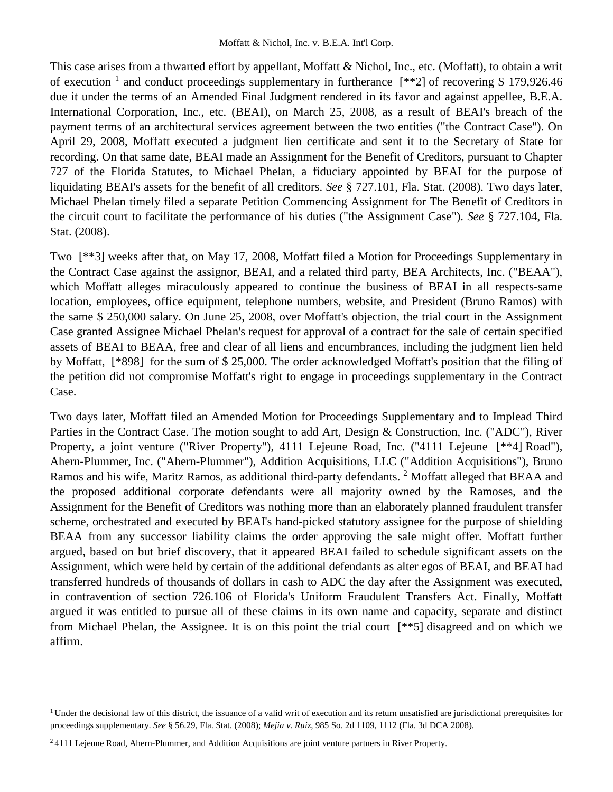This case arises from a thwarted effort by appellant, Moffatt & Nichol, Inc., etc. (Moffatt), to obtain a writ of execution <sup>1</sup> and conduct proceedings supplementary in furtherance  $[**2]$  of recovering \$ 179,926.46 due it under the terms of an Amended Final Judgment rendered in its favor and against appellee, B.E.A. International Corporation, Inc., etc. (BEAI), on March 25, 2008, as a result of BEAI's breach of the payment terms of an architectural services agreement between the two entities ("the Contract Case"). On April 29, 2008, Moffatt executed a judgment lien certificate and sent it to the Secretary of State for recording. On that same date, BEAI made an Assignment for the Benefit of Creditors, pursuant to Chapter 727 of the Florida Statutes, to Michael Phelan, a fiduciary appointed by BEAI for the purpose of liquidating BEAI's assets for the benefit of all creditors. *See* § 727.101, Fla. Stat. (2008). Two days later, Michael Phelan timely filed a separate Petition Commencing Assignment for The Benefit of Creditors in the circuit court to facilitate the performance of his duties ("the Assignment Case"). *See* § 727.104, Fla. Stat. (2008).

Two [\*\*3] weeks after that, on May 17, 2008, Moffatt filed a Motion for Proceedings Supplementary in the Contract Case against the assignor, BEAI, and a related third party, BEA Architects, Inc. ("BEAA"), which Moffatt alleges miraculously appeared to continue the business of BEAI in all respects-same location, employees, office equipment, telephone numbers, website, and President (Bruno Ramos) with the same \$ 250,000 salary. On June 25, 2008, over Moffatt's objection, the trial court in the Assignment Case granted Assignee Michael Phelan's request for approval of a contract for the sale of certain specified assets of BEAI to BEAA, free and clear of all liens and encumbrances, including the judgment lien held by Moffatt, [\*898] for the sum of \$ 25,000. The order acknowledged Moffatt's position that the filing of the petition did not compromise Moffatt's right to engage in proceedings supplementary in the Contract Case.

Two days later, Moffatt filed an Amended Motion for Proceedings Supplementary and to Implead Third Parties in the Contract Case. The motion sought to add Art, Design & Construction, Inc. ("ADC"), River Property, a joint venture ("River Property"), 4111 Lejeune Road, Inc. ("4111 Lejeune [\*\*4] Road"), Ahern-Plummer, Inc. ("Ahern-Plummer"), Addition Acquisitions, LLC ("Addition Acquisitions"), Bruno Ramos and his wife, Maritz Ramos, as additional third-party defendants. <sup>2</sup> Moffatt alleged that BEAA and the proposed additional corporate defendants were all majority owned by the Ramoses, and the Assignment for the Benefit of Creditors was nothing more than an elaborately planned fraudulent transfer scheme, orchestrated and executed by BEAI's hand-picked statutory assignee for the purpose of shielding BEAA from any successor liability claims the order approving the sale might offer. Moffatt further argued, based on but brief discovery, that it appeared BEAI failed to schedule significant assets on the Assignment, which were held by certain of the additional defendants as alter egos of BEAI, and BEAI had transferred hundreds of thousands of dollars in cash to ADC the day after the Assignment was executed, in contravention of section 726.106 of Florida's Uniform Fraudulent Transfers Act. Finally, Moffatt argued it was entitled to pursue all of these claims in its own name and capacity, separate and distinct from Michael Phelan, the Assignee. It is on this point the trial court [\*\*5] disagreed and on which we affirm.

<sup>&</sup>lt;sup>1</sup> Under the decisional law of this district, the issuance of a valid writ of execution and its return unsatisfied are jurisdictional prerequisites for proceedings supplementary. *See* § 56.29, Fla. Stat. (2008); *Mejia v. Ruiz*, 985 So. 2d 1109, 1112 (Fla. 3d DCA 2008).

<sup>2</sup> 4111 Lejeune Road, Ahern-Plummer, and Addition Acquisitions are joint venture partners in River Property.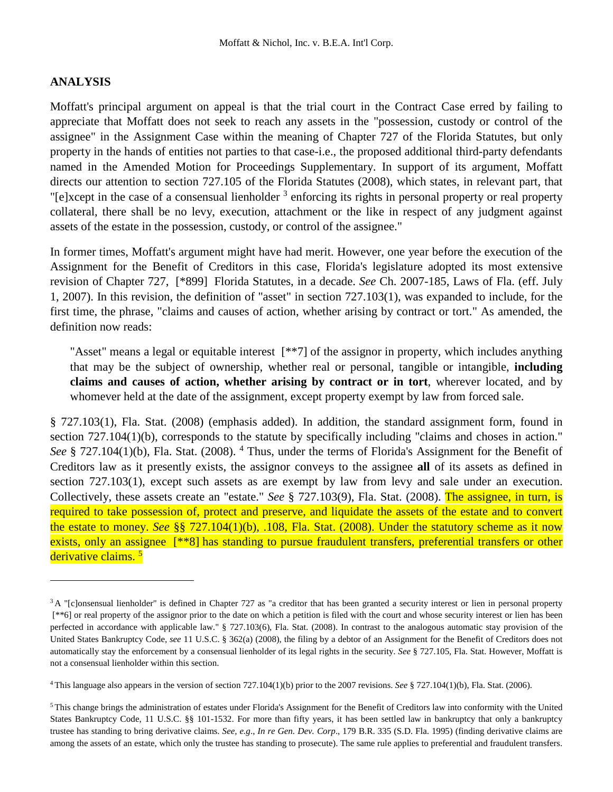### **ANALYSIS**

Moffatt's principal argument on appeal is that the trial court in the Contract Case erred by failing to appreciate that Moffatt does not seek to reach any assets in the "possession, custody or control of the assignee" in the Assignment Case within the meaning of Chapter 727 of the Florida Statutes, but only property in the hands of entities not parties to that case-i.e., the proposed additional third-party defendants named in the Amended Motion for Proceedings Supplementary. In support of its argument, Moffatt directs our attention to section 727.105 of the Florida Statutes (2008), which states, in relevant part, that "[e]xcept in the case of a consensual lienholder <sup>3</sup> enforcing its rights in personal property or real property collateral, there shall be no levy, execution, attachment or the like in respect of any judgment against assets of the estate in the possession, custody, or control of the assignee."

In former times, Moffatt's argument might have had merit. However, one year before the execution of the Assignment for the Benefit of Creditors in this case, Florida's legislature adopted its most extensive revision of Chapter 727, [\*899] Florida Statutes, in a decade. *See* Ch. 2007-185, Laws of Fla. (eff. July 1, 2007). In this revision, the definition of "asset" in section 727.103(1), was expanded to include, for the first time, the phrase, "claims and causes of action, whether arising by contract or tort." As amended, the definition now reads:

"Asset" means a legal or equitable interest [\*\*7] of the assignor in property, which includes anything that may be the subject of ownership, whether real or personal, tangible or intangible, **including claims and causes of action, whether arising by contract or in tort**, wherever located, and by whomever held at the date of the assignment, except property exempt by law from forced sale.

§ 727.103(1), Fla. Stat. (2008) (emphasis added). In addition, the standard assignment form, found in section 727.104(1)(b), corresponds to the statute by specifically including "claims and choses in action." See § 727.104(1)(b), Fla. Stat. (2008). <sup>4</sup> Thus, under the terms of Florida's Assignment for the Benefit of Creditors law as it presently exists, the assignor conveys to the assignee **all** of its assets as defined in section 727.103(1), except such assets as are exempt by law from levy and sale under an execution. Collectively, these assets create an "estate." *See* § 727.103(9), Fla. Stat. (2008). The assignee, in turn, is required to take possession of, protect and preserve, and liquidate the assets of the estate and to convert the estate to money. *See* §§ 727.104(1)(b), .108, Fla. Stat. (2008). Under the statutory scheme as it now exists, only an assignee [\*\*8] has standing to pursue fraudulent transfers, preferential transfers or other derivative claims.<sup>5</sup>

<sup>&</sup>lt;sup>3</sup> A "[c]onsensual lienholder" is defined in Chapter 727 as "a creditor that has been granted a security interest or lien in personal property [\*\*6] or real property of the assignor prior to the date on which a petition is filed with the court and whose security interest or lien has been perfected in accordance with applicable law." § 727.103(6), Fla. Stat. (2008). In contrast to the analogous automatic stay provision of the United States Bankruptcy Code, *see* 11 U.S.C. § 362(a) (2008), the filing by a debtor of an Assignment for the Benefit of Creditors does not automatically stay the enforcement by a consensual lienholder of its legal rights in the security. *See* § 727.105, Fla. Stat. However, Moffatt is not a consensual lienholder within this section.

<sup>4</sup> This language also appears in the version of section 727.104(1)(b) prior to the 2007 revisions. *See* § 727.104(1)(b), Fla. Stat. (2006).

<sup>5</sup> This change brings the administration of estates under Florida's Assignment for the Benefit of Creditors law into conformity with the United States Bankruptcy Code, 11 U.S.C. §§ 101-1532. For more than fifty years, it has been settled law in bankruptcy that only a bankruptcy trustee has standing to bring derivative claims. *See, e.g*., *In re Gen. Dev. Corp*., 179 B.R. 335 (S.D. Fla. 1995) (finding derivative claims are among the assets of an estate, which only the trustee has standing to prosecute). The same rule applies to preferential and fraudulent transfers.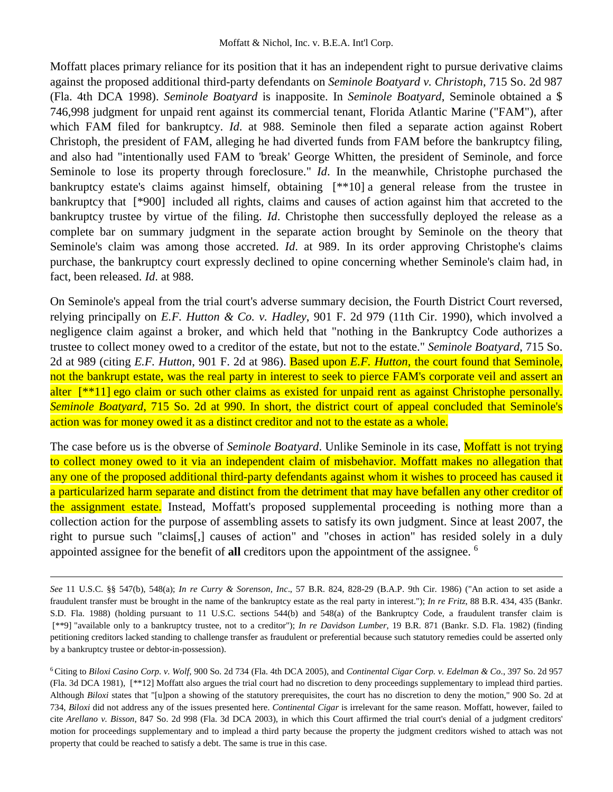Moffatt places primary reliance for its position that it has an independent right to pursue derivative claims against the proposed additional third-party defendants on *Seminole Boatyard v. Christoph*, 715 So. 2d 987 (Fla. 4th DCA 1998). *Seminole Boatyard* is inapposite. In *Seminole Boatyard*, Seminole obtained a \$ 746,998 judgment for unpaid rent against its commercial tenant, Florida Atlantic Marine ("FAM"), after which FAM filed for bankruptcy. *Id*. at 988. Seminole then filed a separate action against Robert Christoph, the president of FAM, alleging he had diverted funds from FAM before the bankruptcy filing, and also had "intentionally used FAM to 'break' George Whitten, the president of Seminole, and force Seminole to lose its property through foreclosure." *Id*. In the meanwhile, Christophe purchased the bankruptcy estate's claims against himself, obtaining [\*\*10] a general release from the trustee in bankruptcy that [\*900] included all rights, claims and causes of action against him that accreted to the bankruptcy trustee by virtue of the filing. *Id*. Christophe then successfully deployed the release as a complete bar on summary judgment in the separate action brought by Seminole on the theory that Seminole's claim was among those accreted. *Id*. at 989. In its order approving Christophe's claims purchase, the bankruptcy court expressly declined to opine concerning whether Seminole's claim had, in fact, been released. *Id*. at 988.

On Seminole's appeal from the trial court's adverse summary decision, the Fourth District Court reversed, relying principally on *E.F. Hutton & Co. v. Hadley*, 901 F. 2d 979 (11th Cir. 1990), which involved a negligence claim against a broker, and which held that "nothing in the Bankruptcy Code authorizes a trustee to collect money owed to a creditor of the estate, but not to the estate." *Seminole Boatyard*, 715 So. 2d at 989 (citing *E.F. Hutton*, 901 F. 2d at 986). Based upon *E.F. Hutton*, the court found that Seminole, not the bankrupt estate, was the real party in interest to seek to pierce FAM's corporate veil and assert an alter [\*\*11] ego claim or such other claims as existed for unpaid rent as against Christophe personally. *Seminole Boatyard*, 715 So. 2d at 990. In short, the district court of appeal concluded that Seminole's action was for money owed it as a distinct creditor and not to the estate as a whole.

The case before us is the obverse of *Seminole Boatyard*. Unlike Seminole in its case, Moffatt is not trying to collect money owed to it via an independent claim of misbehavior. Moffatt makes no allegation that any one of the proposed additional third-party defendants against whom it wishes to proceed has caused it a particularized harm separate and distinct from the detriment that may have befallen any other creditor of the assignment estate. Instead, Moffatt's proposed supplemental proceeding is nothing more than a collection action for the purpose of assembling assets to satisfy its own judgment. Since at least 2007, the right to pursue such "claims[,] causes of action" and "choses in action" has resided solely in a duly appointed assignee for the benefit of **all** creditors upon the appointment of the assignee. <sup>6</sup>

*See* 11 U.S.C. §§ 547(b), 548(a); *In re Curry & Sorenson, Inc*., 57 B.R. 824, 828-29 (B.A.P. 9th Cir. 1986) ("An action to set aside a fraudulent transfer must be brought in the name of the bankruptcy estate as the real party in interest."); *In re Fritz*, 88 B.R. 434, 435 (Bankr. S.D. Fla. 1988) (holding pursuant to 11 U.S.C. sections 544(b) and 548(a) of the Bankruptcy Code, a fraudulent transfer claim is [\*\*9] "available only to a bankruptcy trustee, not to a creditor"); *In re Davidson Lumber*, 19 B.R. 871 (Bankr. S.D. Fla. 1982) (finding petitioning creditors lacked standing to challenge transfer as fraudulent or preferential because such statutory remedies could be asserted only by a bankruptcy trustee or debtor-in-possession).

<sup>6</sup> Citing to *Biloxi Casino Corp. v. Wolf*, 900 So. 2d 734 (Fla. 4th DCA 2005), and *Continental Cigar Corp. v. Edelman & Co*., 397 So. 2d 957 (Fla. 3d DCA 1981), [\*\*12] Moffatt also argues the trial court had no discretion to deny proceedings supplementary to implead third parties. Although *Biloxi* states that "[u]pon a showing of the statutory prerequisites, the court has no discretion to deny the motion," 900 So. 2d at 734, *Biloxi* did not address any of the issues presented here. *Continental Cigar* is irrelevant for the same reason. Moffatt, however, failed to cite *Arellano v. Bisson*, 847 So. 2d 998 (Fla. 3d DCA 2003), in which this Court affirmed the trial court's denial of a judgment creditors' motion for proceedings supplementary and to implead a third party because the property the judgment creditors wished to attach was not property that could be reached to satisfy a debt. The same is true in this case.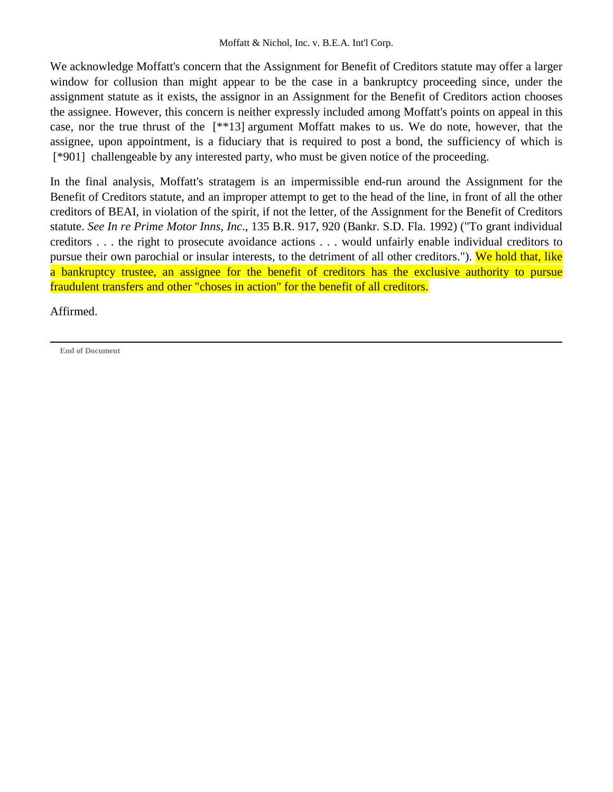We acknowledge Moffatt's concern that the Assignment for Benefit of Creditors statute may offer a larger window for collusion than might appear to be the case in a bankruptcy proceeding since, under the assignment statute as it exists, the assignor in an Assignment for the Benefit of Creditors action chooses the assignee. However, this concern is neither expressly included among Moffatt's points on appeal in this case, nor the true thrust of the [\*\*13] argument Moffatt makes to us. We do note, however, that the assignee, upon appointment, is a fiduciary that is required to post a bond, the sufficiency of which is [\*901] challengeable by any interested party, who must be given notice of the proceeding.

In the final analysis, Moffatt's stratagem is an impermissible end-run around the Assignment for the Benefit of Creditors statute, and an improper attempt to get to the head of the line, in front of all the other creditors of BEAI, in violation of the spirit, if not the letter, of the Assignment for the Benefit of Creditors statute. *See In re Prime Motor Inns, Inc*., 135 B.R. 917, 920 (Bankr. S.D. Fla. 1992) ("To grant individual creditors . . . the right to prosecute avoidance actions . . . would unfairly enable individual creditors to pursue their own parochial or insular interests, to the detriment of all other creditors."). We hold that, like a bankruptcy trustee, an assignee for the benefit of creditors has the exclusive authority to pursue fraudulent transfers and other "choses in action" for the benefit of all creditors.

Affirmed.

**End of Document**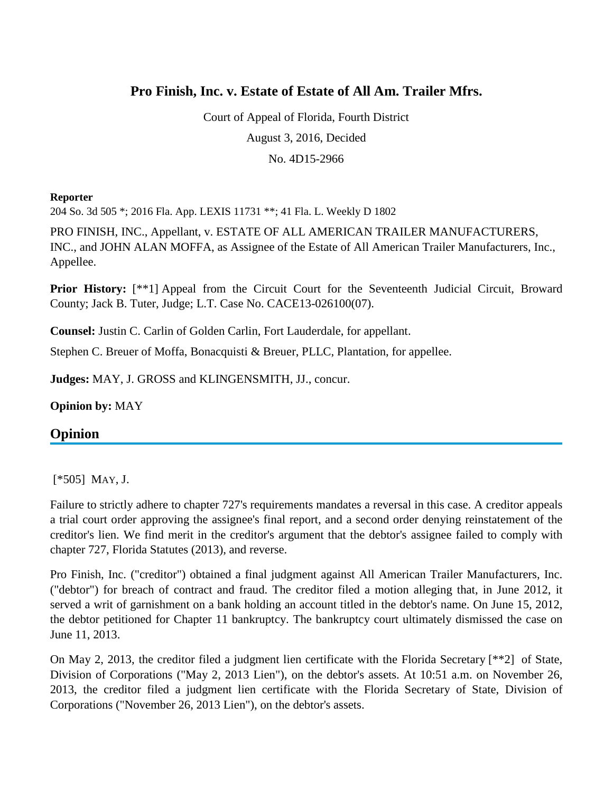# **Pro Finish, Inc. v. Estate of Estate of All Am. Trailer Mfrs.**

Court of Appeal of Florida, Fourth District August 3, 2016, Decided No. 4D15-2966

#### **Reporter**

204 So. 3d 505 \*; 2016 Fla. App. LEXIS 11731 \*\*; 41 Fla. L. Weekly D 1802

PRO FINISH, INC., Appellant, v. ESTATE OF ALL AMERICAN TRAILER MANUFACTURERS, INC., and JOHN ALAN MOFFA, as Assignee of the Estate of All American Trailer Manufacturers, Inc., Appellee.

**Prior History:** [\*\*1] Appeal from the Circuit Court for the Seventeenth Judicial Circuit, Broward County; Jack B. Tuter, Judge; L.T. Case No. CACE13-026100(07).

**Counsel:** Justin C. Carlin of Golden Carlin, Fort Lauderdale, for appellant.

Stephen C. Breuer of Moffa, Bonacquisti & Breuer, PLLC, Plantation, for appellee.

**Judges:** MAY, J. GROSS and KLINGENSMITH, JJ., concur.

### **Opinion by:** MAY

## **Opinion**

### [\*505] MAY, J.

Failure to strictly adhere to chapter 727's requirements mandates a reversal in this case. A creditor appeals a trial court order approving the assignee's final report, and a second order denying reinstatement of the creditor's lien. We find merit in the creditor's argument that the debtor's assignee failed to comply with chapter 727, Florida Statutes (2013), and reverse.

Pro Finish, Inc. ("creditor") obtained a final judgment against All American Trailer Manufacturers, Inc. ("debtor") for breach of contract and fraud. The creditor filed a motion alleging that, in June 2012, it served a writ of garnishment on a bank holding an account titled in the debtor's name. On June 15, 2012, the debtor petitioned for Chapter 11 bankruptcy. The bankruptcy court ultimately dismissed the case on June 11, 2013.

On May 2, 2013, the creditor filed a judgment lien certificate with the Florida Secretary [\*\*2] of State, Division of Corporations ("May 2, 2013 Lien"), on the debtor's assets. At 10:51 a.m. on November 26, 2013, the creditor filed a judgment lien certificate with the Florida Secretary of State, Division of Corporations ("November 26, 2013 Lien"), on the debtor's assets.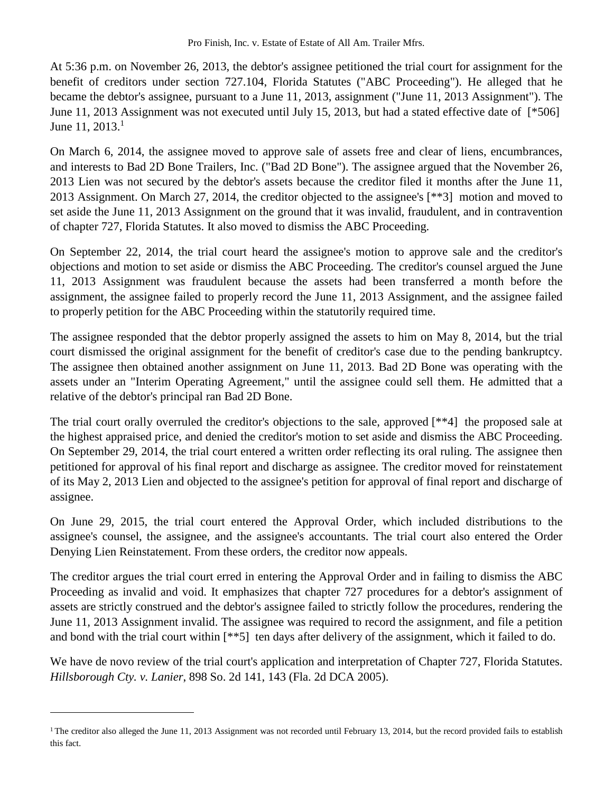At 5:36 p.m. on November 26, 2013, the debtor's assignee petitioned the trial court for assignment for the benefit of creditors under section 727.104, Florida Statutes ("ABC Proceeding"). He alleged that he became the debtor's assignee, pursuant to a June 11, 2013, assignment ("June 11, 2013 Assignment"). The June 11, 2013 Assignment was not executed until July 15, 2013, but had a stated effective date of [\*506] June 11, 2013.<sup>1</sup>

On March 6, 2014, the assignee moved to approve sale of assets free and clear of liens, encumbrances, and interests to Bad 2D Bone Trailers, Inc. ("Bad 2D Bone"). The assignee argued that the November 26, 2013 Lien was not secured by the debtor's assets because the creditor filed it months after the June 11, 2013 Assignment. On March 27, 2014, the creditor objected to the assignee's [\*\*3] motion and moved to set aside the June 11, 2013 Assignment on the ground that it was invalid, fraudulent, and in contravention of chapter 727, Florida Statutes. It also moved to dismiss the ABC Proceeding.

On September 22, 2014, the trial court heard the assignee's motion to approve sale and the creditor's objections and motion to set aside or dismiss the ABC Proceeding. The creditor's counsel argued the June 11, 2013 Assignment was fraudulent because the assets had been transferred a month before the assignment, the assignee failed to properly record the June 11, 2013 Assignment, and the assignee failed to properly petition for the ABC Proceeding within the statutorily required time.

The assignee responded that the debtor properly assigned the assets to him on May 8, 2014, but the trial court dismissed the original assignment for the benefit of creditor's case due to the pending bankruptcy. The assignee then obtained another assignment on June 11, 2013. Bad 2D Bone was operating with the assets under an "Interim Operating Agreement," until the assignee could sell them. He admitted that a relative of the debtor's principal ran Bad 2D Bone.

The trial court orally overruled the creditor's objections to the sale, approved [\*\*4] the proposed sale at the highest appraised price, and denied the creditor's motion to set aside and dismiss the ABC Proceeding. On September 29, 2014, the trial court entered a written order reflecting its oral ruling. The assignee then petitioned for approval of his final report and discharge as assignee. The creditor moved for reinstatement of its May 2, 2013 Lien and objected to the assignee's petition for approval of final report and discharge of assignee.

On June 29, 2015, the trial court entered the Approval Order, which included distributions to the assignee's counsel, the assignee, and the assignee's accountants. The trial court also entered the Order Denying Lien Reinstatement. From these orders, the creditor now appeals.

The creditor argues the trial court erred in entering the Approval Order and in failing to dismiss the ABC Proceeding as invalid and void. It emphasizes that chapter 727 procedures for a debtor's assignment of assets are strictly construed and the debtor's assignee failed to strictly follow the procedures, rendering the June 11, 2013 Assignment invalid. The assignee was required to record the assignment, and file a petition and bond with the trial court within [\*\*5] ten days after delivery of the assignment, which it failed to do.

We have de novo review of the trial court's application and interpretation of Chapter 727, Florida Statutes. *Hillsborough Cty. v. Lanier*, 898 So. 2d 141, 143 (Fla. 2d DCA 2005).

<sup>&</sup>lt;sup>1</sup> The creditor also alleged the June 11, 2013 Assignment was not recorded until February 13, 2014, but the record provided fails to establish this fact.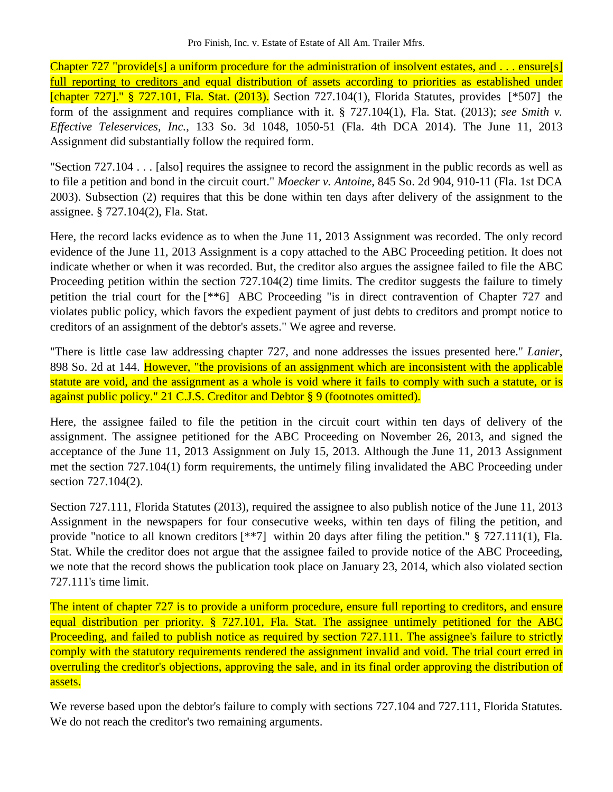Chapter 727 "provide<sup>[s]</sup> a uniform procedure for the administration of insolvent estates, and . . . ensure<sup>[s]</sup> full reporting to creditors and equal distribution of assets according to priorities as established under [chapter 727]." § 727.101, Fla. Stat. (2013). Section 727.104(1), Florida Statutes, provides [\*507] the form of the assignment and requires compliance with it. § 727.104(1), Fla. Stat. (2013); *see Smith v. Effective Teleservices, Inc.*, 133 So. 3d 1048, 1050-51 (Fla. 4th DCA 2014). The June 11, 2013 Assignment did substantially follow the required form.

"Section 727.104 . . . [also] requires the assignee to record the assignment in the public records as well as to file a petition and bond in the circuit court." *Moecker v. Antoine*, 845 So. 2d 904, 910-11 (Fla. 1st DCA 2003). Subsection (2) requires that this be done within ten days after delivery of the assignment to the assignee. § 727.104(2), Fla. Stat.

Here, the record lacks evidence as to when the June 11, 2013 Assignment was recorded. The only record evidence of the June 11, 2013 Assignment is a copy attached to the ABC Proceeding petition. It does not indicate whether or when it was recorded. But, the creditor also argues the assignee failed to file the ABC Proceeding petition within the section 727.104(2) time limits. The creditor suggests the failure to timely petition the trial court for the [\*\*6] ABC Proceeding "is in direct contravention of Chapter 727 and violates public policy, which favors the expedient payment of just debts to creditors and prompt notice to creditors of an assignment of the debtor's assets." We agree and reverse.

"There is little case law addressing chapter 727, and none addresses the issues presented here." *Lanier*, 898 So. 2d at 144. However, "the provisions of an assignment which are inconsistent with the applicable statute are void, and the assignment as a whole is void where it fails to comply with such a statute, or is against public policy." 21 C.J.S. Creditor and Debtor § 9 (footnotes omitted).

Here, the assignee failed to file the petition in the circuit court within ten days of delivery of the assignment. The assignee petitioned for the ABC Proceeding on November 26, 2013, and signed the acceptance of the June 11, 2013 Assignment on July 15, 2013. Although the June 11, 2013 Assignment met the section 727.104(1) form requirements, the untimely filing invalidated the ABC Proceeding under section 727.104(2).

Section 727.111, Florida Statutes (2013), required the assignee to also publish notice of the June 11, 2013 Assignment in the newspapers for four consecutive weeks, within ten days of filing the petition, and provide "notice to all known creditors [\*\*7] within 20 days after filing the petition." § 727.111(1), Fla. Stat. While the creditor does not argue that the assignee failed to provide notice of the ABC Proceeding, we note that the record shows the publication took place on January 23, 2014, which also violated section 727.111's time limit.

The intent of chapter 727 is to provide a uniform procedure, ensure full reporting to creditors, and ensure equal distribution per priority. § 727.101, Fla. Stat. The assignee untimely petitioned for the ABC Proceeding, and failed to publish notice as required by section 727.111. The assignee's failure to strictly comply with the statutory requirements rendered the assignment invalid and void. The trial court erred in overruling the creditor's objections, approving the sale, and in its final order approving the distribution of assets.

We reverse based upon the debtor's failure to comply with sections 727.104 and 727.111, Florida Statutes. We do not reach the creditor's two remaining arguments.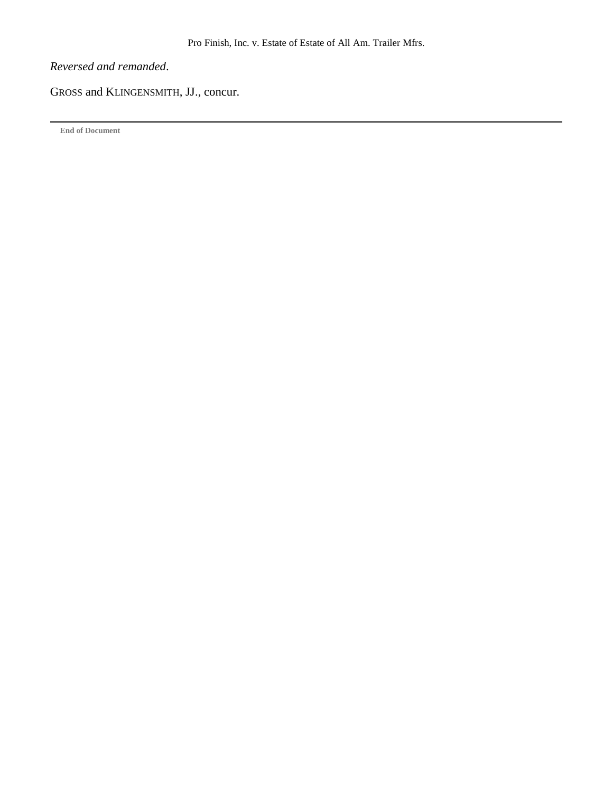# *Reversed and remanded*.

GROSS and KLINGENSMITH, JJ., concur.

**End of Document**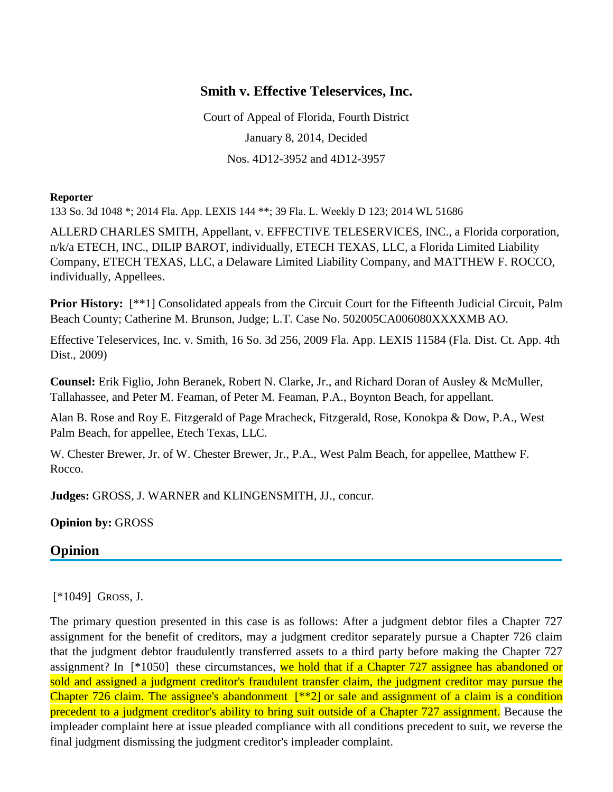# **Smith v. Effective Teleservices, Inc.**

Court of Appeal of Florida, Fourth District January 8, 2014, Decided Nos. 4D12-3952 and 4D12-3957

### **Reporter**

133 So. 3d 1048 \*; 2014 Fla. App. LEXIS 144 \*\*; 39 Fla. L. Weekly D 123; 2014 WL 51686

ALLERD CHARLES SMITH, Appellant, v. EFFECTIVE TELESERVICES, INC., a Florida corporation, n/k/a ETECH, INC., DILIP BAROT, individually, ETECH TEXAS, LLC, a Florida Limited Liability Company, ETECH TEXAS, LLC, a Delaware Limited Liability Company, and MATTHEW F. ROCCO, individually, Appellees.

**Prior History:** [\*\*1] Consolidated appeals from the Circuit Court for the Fifteenth Judicial Circuit, Palm Beach County; Catherine M. Brunson, Judge; L.T. Case No. 502005CA006080XXXXMB AO.

Effective Teleservices, Inc. v. Smith, 16 So. 3d 256, 2009 Fla. App. LEXIS 11584 (Fla. Dist. Ct. App. 4th Dist., 2009)

**Counsel:** Erik Figlio, John Beranek, Robert N. Clarke, Jr., and Richard Doran of Ausley & McMuller, Tallahassee, and Peter M. Feaman, of Peter M. Feaman, P.A., Boynton Beach, for appellant.

Alan B. Rose and Roy E. Fitzgerald of Page Mracheck, Fitzgerald, Rose, Konokpa & Dow, P.A., West Palm Beach, for appellee, Etech Texas, LLC.

W. Chester Brewer, Jr. of W. Chester Brewer, Jr., P.A., West Palm Beach, for appellee, Matthew F. Rocco.

**Judges:** GROSS, J. WARNER and KLINGENSMITH, JJ., concur.

**Opinion by:** GROSS

# **Opinion**

## [\*1049] GROSS, J.

The primary question presented in this case is as follows: After a judgment debtor files a Chapter 727 assignment for the benefit of creditors, may a judgment creditor separately pursue a Chapter 726 claim that the judgment debtor fraudulently transferred assets to a third party before making the Chapter 727 assignment? In [\*1050] these circumstances, we hold that if a Chapter 727 assignee has abandoned or sold and assigned a judgment creditor's fraudulent transfer claim, the judgment creditor may pursue the Chapter 726 claim. The assignee's abandonment [\*\*2] or sale and assignment of a claim is a condition precedent to a judgment creditor's ability to bring suit outside of a Chapter 727 assignment. Because the impleader complaint here at issue pleaded compliance with all conditions precedent to suit, we reverse the final judgment dismissing the judgment creditor's impleader complaint.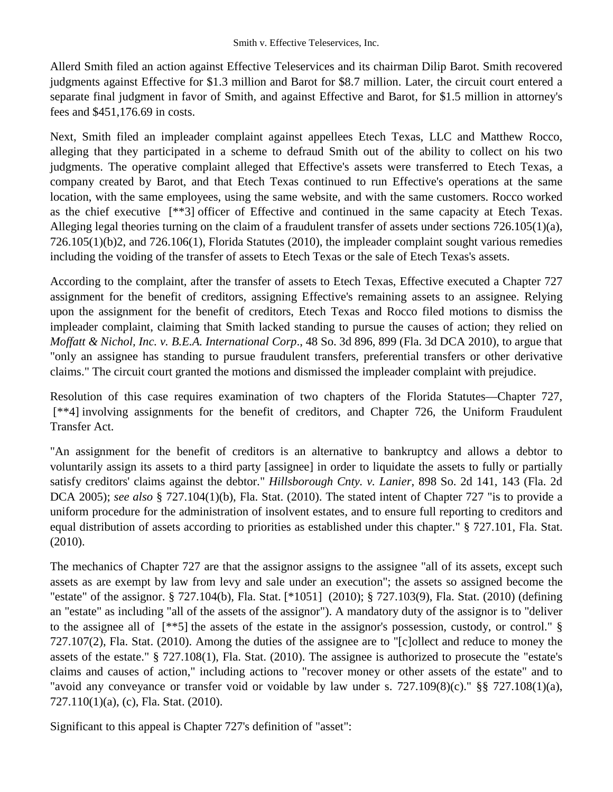Allerd Smith filed an action against Effective Teleservices and its chairman Dilip Barot. Smith recovered judgments against Effective for \$1.3 million and Barot for \$8.7 million. Later, the circuit court entered a separate final judgment in favor of Smith, and against Effective and Barot, for \$1.5 million in attorney's fees and \$451,176.69 in costs.

Next, Smith filed an impleader complaint against appellees Etech Texas, LLC and Matthew Rocco, alleging that they participated in a scheme to defraud Smith out of the ability to collect on his two judgments. The operative complaint alleged that Effective's assets were transferred to Etech Texas, a company created by Barot, and that Etech Texas continued to run Effective's operations at the same location, with the same employees, using the same website, and with the same customers. Rocco worked as the chief executive [\*\*3] officer of Effective and continued in the same capacity at Etech Texas. Alleging legal theories turning on the claim of a fraudulent transfer of assets under sections 726.105(1)(a), 726.105(1)(b)2, and 726.106(1), Florida Statutes (2010), the impleader complaint sought various remedies including the voiding of the transfer of assets to Etech Texas or the sale of Etech Texas's assets.

According to the complaint, after the transfer of assets to Etech Texas, Effective executed a Chapter 727 assignment for the benefit of creditors, assigning Effective's remaining assets to an assignee. Relying upon the assignment for the benefit of creditors, Etech Texas and Rocco filed motions to dismiss the impleader complaint, claiming that Smith lacked standing to pursue the causes of action; they relied on *Moffatt & Nichol, Inc. v. B.E.A. International Corp*., 48 So. 3d 896, 899 (Fla. 3d DCA 2010), to argue that "only an assignee has standing to pursue fraudulent transfers, preferential transfers or other derivative claims." The circuit court granted the motions and dismissed the impleader complaint with prejudice.

Resolution of this case requires examination of two chapters of the Florida Statutes—Chapter 727, [\*\*4] involving assignments for the benefit of creditors, and Chapter 726, the Uniform Fraudulent Transfer Act.

"An assignment for the benefit of creditors is an alternative to bankruptcy and allows a debtor to voluntarily assign its assets to a third party [assignee] in order to liquidate the assets to fully or partially satisfy creditors' claims against the debtor." *Hillsborough Cnty. v. Lanier*, 898 So. 2d 141, 143 (Fla. 2d DCA 2005); *see also* § 727.104(1)(b), Fla. Stat. (2010). The stated intent of Chapter 727 "is to provide a uniform procedure for the administration of insolvent estates, and to ensure full reporting to creditors and equal distribution of assets according to priorities as established under this chapter." § 727.101, Fla. Stat. (2010).

The mechanics of Chapter 727 are that the assignor assigns to the assignee "all of its assets, except such assets as are exempt by law from levy and sale under an execution"; the assets so assigned become the "estate" of the assignor. § 727.104(b), Fla. Stat. [\*1051] (2010); § 727.103(9), Fla. Stat. (2010) (defining an "estate" as including "all of the assets of the assignor"). A mandatory duty of the assignor is to "deliver to the assignee all of [\*\*5] the assets of the estate in the assignor's possession, custody, or control." § 727.107(2), Fla. Stat. (2010). Among the duties of the assignee are to "[c]ollect and reduce to money the assets of the estate." § 727.108(1), Fla. Stat. (2010). The assignee is authorized to prosecute the "estate's claims and causes of action," including actions to "recover money or other assets of the estate" and to "avoid any conveyance or transfer void or voidable by law under s. 727.109(8)(c)." §§ 727.108(1)(a), 727.110(1)(a), (c), Fla. Stat. (2010).

Significant to this appeal is Chapter 727's definition of "asset":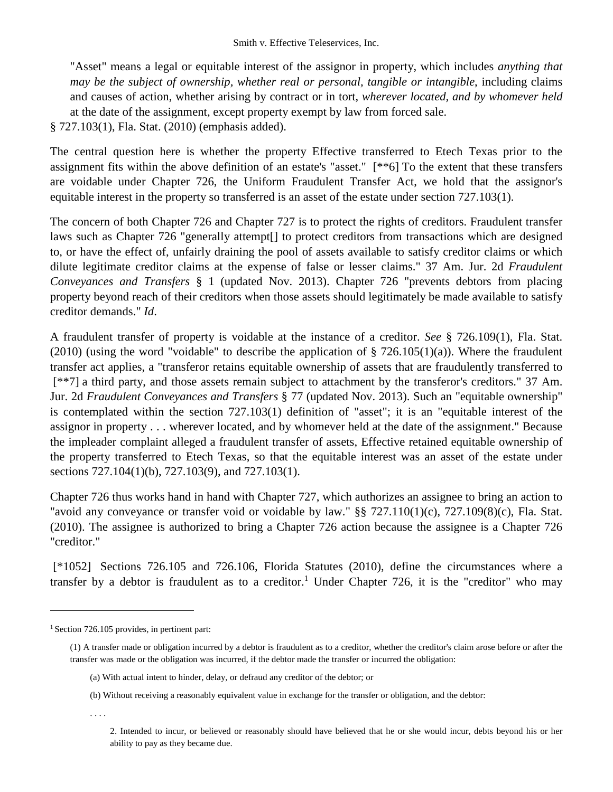"Asset" means a legal or equitable interest of the assignor in property, which includes *anything that may be the subject of ownership, whether real or personal, tangible or intangible*, including claims and causes of action, whether arising by contract or in tort, *wherever located, and by whomever held* at the date of the assignment, except property exempt by law from forced sale.

§ 727.103(1), Fla. Stat. (2010) (emphasis added).

The central question here is whether the property Effective transferred to Etech Texas prior to the assignment fits within the above definition of an estate's "asset." [\*\*6] To the extent that these transfers are voidable under Chapter 726, the Uniform Fraudulent Transfer Act, we hold that the assignor's equitable interest in the property so transferred is an asset of the estate under section 727.103(1).

The concern of both Chapter 726 and Chapter 727 is to protect the rights of creditors. Fraudulent transfer laws such as Chapter 726 "generally attempt[] to protect creditors from transactions which are designed to, or have the effect of, unfairly draining the pool of assets available to satisfy creditor claims or which dilute legitimate creditor claims at the expense of false or lesser claims." 37 Am. Jur. 2d *Fraudulent Conveyances and Transfers* § 1 (updated Nov. 2013). Chapter 726 "prevents debtors from placing property beyond reach of their creditors when those assets should legitimately be made available to satisfy creditor demands." *Id*.

A fraudulent transfer of property is voidable at the instance of a creditor. *See* § 726.109(1), Fla. Stat. (2010) (using the word "voidable" to describe the application of  $\S$  726.105(1)(a)). Where the fraudulent transfer act applies, a "transferor retains equitable ownership of assets that are fraudulently transferred to [\*\*7] a third party, and those assets remain subject to attachment by the transferor's creditors." 37 Am. Jur. 2d *Fraudulent Conveyances and Transfers* § 77 (updated Nov. 2013). Such an "equitable ownership" is contemplated within the section 727.103(1) definition of "asset"; it is an "equitable interest of the assignor in property . . . wherever located, and by whomever held at the date of the assignment." Because the impleader complaint alleged a fraudulent transfer of assets, Effective retained equitable ownership of the property transferred to Etech Texas, so that the equitable interest was an asset of the estate under sections 727.104(1)(b), 727.103(9), and 727.103(1).

Chapter 726 thus works hand in hand with Chapter 727, which authorizes an assignee to bring an action to "avoid any conveyance or transfer void or voidable by law." §§ 727.110(1)(c), 727.109(8)(c), Fla. Stat. (2010). The assignee is authorized to bring a Chapter 726 action because the assignee is a Chapter 726 "creditor."

[\*1052] Sections 726.105 and 726.106, Florida Statutes (2010), define the circumstances where a transfer by a debtor is fraudulent as to a creditor.<sup>1</sup> Under Chapter 726, it is the "creditor" who may

. . . .

<sup>1</sup> Section 726.105 provides, in pertinent part:

<sup>(1)</sup> A transfer made or obligation incurred by a debtor is fraudulent as to a creditor, whether the creditor's claim arose before or after the transfer was made or the obligation was incurred, if the debtor made the transfer or incurred the obligation:

<sup>(</sup>a) With actual intent to hinder, delay, or defraud any creditor of the debtor; or

<sup>(</sup>b) Without receiving a reasonably equivalent value in exchange for the transfer or obligation, and the debtor:

<sup>2.</sup> Intended to incur, or believed or reasonably should have believed that he or she would incur, debts beyond his or her ability to pay as they became due.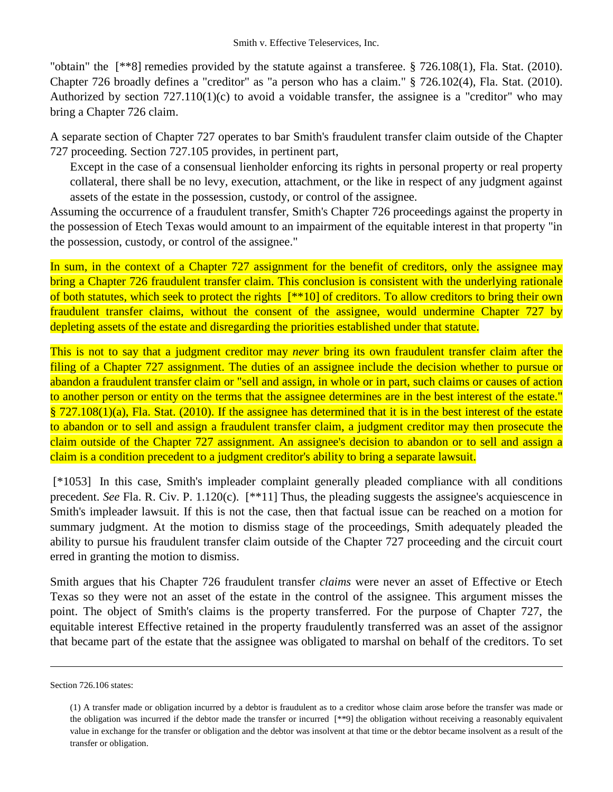"obtain" the [\*\*8] remedies provided by the statute against a transferee. § 726.108(1), Fla. Stat. (2010). Chapter 726 broadly defines a "creditor" as "a person who has a claim." § 726.102(4), Fla. Stat. (2010). Authorized by section 727.110(1)(c) to avoid a voidable transfer, the assignee is a "creditor" who may bring a Chapter 726 claim.

A separate section of Chapter 727 operates to bar Smith's fraudulent transfer claim outside of the Chapter 727 proceeding. Section 727.105 provides, in pertinent part,

Except in the case of a consensual lienholder enforcing its rights in personal property or real property collateral, there shall be no levy, execution, attachment, or the like in respect of any judgment against assets of the estate in the possession, custody, or control of the assignee.

Assuming the occurrence of a fraudulent transfer, Smith's Chapter 726 proceedings against the property in the possession of Etech Texas would amount to an impairment of the equitable interest in that property "in the possession, custody, or control of the assignee."

In sum, in the context of a Chapter 727 assignment for the benefit of creditors, only the assignee may bring a Chapter 726 fraudulent transfer claim. This conclusion is consistent with the underlying rationale of both statutes, which seek to protect the rights [\*\*10] of creditors. To allow creditors to bring their own fraudulent transfer claims, without the consent of the assignee, would undermine Chapter 727 by depleting assets of the estate and disregarding the priorities established under that statute.

This is not to say that a judgment creditor may *never* bring its own fraudulent transfer claim after the filing of a Chapter 727 assignment. The duties of an assignee include the decision whether to pursue or abandon a fraudulent transfer claim or "sell and assign, in whole or in part, such claims or causes of action to another person or entity on the terms that the assignee determines are in the best interest of the estate." § 727.108(1)(a), Fla. Stat. (2010). If the assignee has determined that it is in the best interest of the estate to abandon or to sell and assign a fraudulent transfer claim, a judgment creditor may then prosecute the claim outside of the Chapter 727 assignment. An assignee's decision to abandon or to sell and assign a claim is a condition precedent to a judgment creditor's ability to bring a separate lawsuit.

[\*1053] In this case, Smith's impleader complaint generally pleaded compliance with all conditions precedent. *See* Fla. R. Civ. P. 1.120(c). [\*\*11] Thus, the pleading suggests the assignee's acquiescence in Smith's impleader lawsuit. If this is not the case, then that factual issue can be reached on a motion for summary judgment. At the motion to dismiss stage of the proceedings, Smith adequately pleaded the ability to pursue his fraudulent transfer claim outside of the Chapter 727 proceeding and the circuit court erred in granting the motion to dismiss.

Smith argues that his Chapter 726 fraudulent transfer *claims* were never an asset of Effective or Etech Texas so they were not an asset of the estate in the control of the assignee. This argument misses the point. The object of Smith's claims is the property transferred. For the purpose of Chapter 727, the equitable interest Effective retained in the property fraudulently transferred was an asset of the assignor that became part of the estate that the assignee was obligated to marshal on behalf of the creditors. To set

Section 726.106 states:

<sup>(1)</sup> A transfer made or obligation incurred by a debtor is fraudulent as to a creditor whose claim arose before the transfer was made or the obligation was incurred if the debtor made the transfer or incurred [\*\*9] the obligation without receiving a reasonably equivalent value in exchange for the transfer or obligation and the debtor was insolvent at that time or the debtor became insolvent as a result of the transfer or obligation.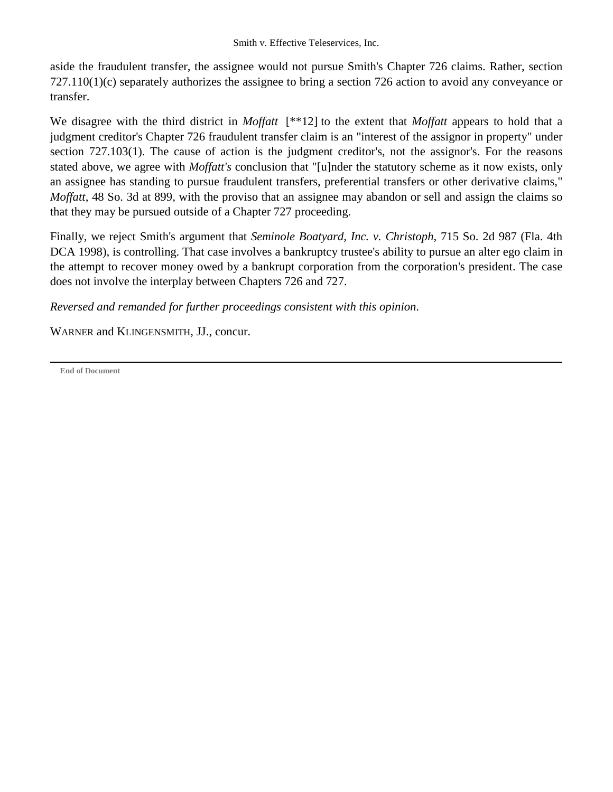aside the fraudulent transfer, the assignee would not pursue Smith's Chapter 726 claims. Rather, section 727.110(1)(c) separately authorizes the assignee to bring a section 726 action to avoid any conveyance or transfer.

We disagree with the third district in *Moffatt* [\*\*12] to the extent that *Moffatt* appears to hold that a judgment creditor's Chapter 726 fraudulent transfer claim is an "interest of the assignor in property" under section 727.103(1). The cause of action is the judgment creditor's, not the assignor's. For the reasons stated above, we agree with *Moffatt's* conclusion that "[u]nder the statutory scheme as it now exists, only an assignee has standing to pursue fraudulent transfers, preferential transfers or other derivative claims," *Moffatt*, 48 So. 3d at 899, with the proviso that an assignee may abandon or sell and assign the claims so that they may be pursued outside of a Chapter 727 proceeding.

Finally, we reject Smith's argument that *Seminole Boatyard, Inc. v. Christoph*, 715 So. 2d 987 (Fla. 4th DCA 1998), is controlling. That case involves a bankruptcy trustee's ability to pursue an alter ego claim in the attempt to recover money owed by a bankrupt corporation from the corporation's president. The case does not involve the interplay between Chapters 726 and 727.

*Reversed and remanded for further proceedings consistent with this opinion*.

WARNER and KLINGENSMITH, JJ., concur.

**End of Document**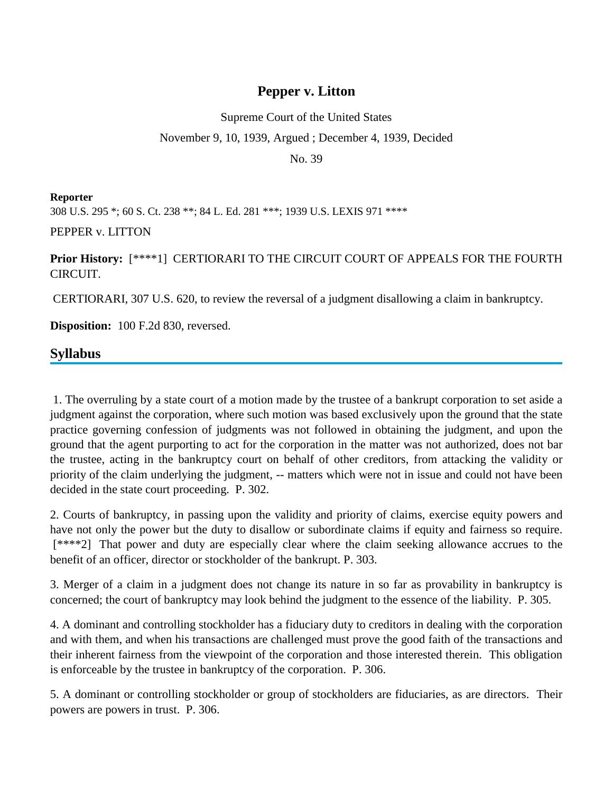## **Pepper v. Litton**

Supreme Court of the United States November 9, 10, 1939, Argued ; December 4, 1939, Decided

No. 39

**Reporter** 308 U.S. 295 \*; 60 S. Ct. 238 \*\*; 84 L. Ed. 281 \*\*\*; 1939 U.S. LEXIS 971 \*\*\*\*

PEPPER v. LITTON

**Prior History:** [\*\*\*\*1] CERTIORARI TO THE CIRCUIT COURT OF APPEALS FOR THE FOURTH CIRCUIT.

CERTIORARI, 307 U.S. 620, to review the reversal of a judgment disallowing a claim in bankruptcy.

**Disposition:** 100 F.2d 830, reversed.

# **Syllabus**

1. The overruling by a state court of a motion made by the trustee of a bankrupt corporation to set aside a judgment against the corporation, where such motion was based exclusively upon the ground that the state practice governing confession of judgments was not followed in obtaining the judgment, and upon the ground that the agent purporting to act for the corporation in the matter was not authorized, does not bar the trustee, acting in the bankruptcy court on behalf of other creditors, from attacking the validity or priority of the claim underlying the judgment, -- matters which were not in issue and could not have been decided in the state court proceeding. P. 302.

2. Courts of bankruptcy, in passing upon the validity and priority of claims, exercise equity powers and have not only the power but the duty to disallow or subordinate claims if equity and fairness so require. [\*\*\*\*2] That power and duty are especially clear where the claim seeking allowance accrues to the benefit of an officer, director or stockholder of the bankrupt. P. 303.

3. Merger of a claim in a judgment does not change its nature in so far as provability in bankruptcy is concerned; the court of bankruptcy may look behind the judgment to the essence of the liability. P. 305.

4. A dominant and controlling stockholder has a fiduciary duty to creditors in dealing with the corporation and with them, and when his transactions are challenged must prove the good faith of the transactions and their inherent fairness from the viewpoint of the corporation and those interested therein. This obligation is enforceable by the trustee in bankruptcy of the corporation. P. 306.

5. A dominant or controlling stockholder or group of stockholders are fiduciaries, as are directors. Their powers are powers in trust. P. 306.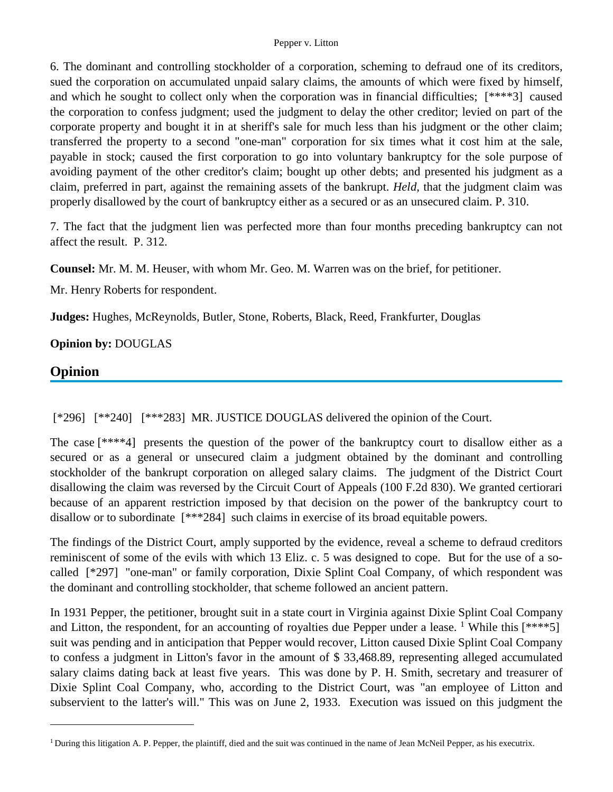6. The dominant and controlling stockholder of a corporation, scheming to defraud one of its creditors, sued the corporation on accumulated unpaid salary claims, the amounts of which were fixed by himself, and which he sought to collect only when the corporation was in financial difficulties; [\*\*\*\*3] caused the corporation to confess judgment; used the judgment to delay the other creditor; levied on part of the corporate property and bought it in at sheriff's sale for much less than his judgment or the other claim; transferred the property to a second "one-man" corporation for six times what it cost him at the sale, payable in stock; caused the first corporation to go into voluntary bankruptcy for the sole purpose of avoiding payment of the other creditor's claim; bought up other debts; and presented his judgment as a claim, preferred in part, against the remaining assets of the bankrupt. *Held*, that the judgment claim was properly disallowed by the court of bankruptcy either as a secured or as an unsecured claim. P. 310.

7. The fact that the judgment lien was perfected more than four months preceding bankruptcy can not affect the result. P. 312.

**Counsel:** Mr. M. M. Heuser, with whom Mr. Geo. M. Warren was on the brief, for petitioner.

Mr. Henry Roberts for respondent.

**Judges:** Hughes, McReynolds, Butler, Stone, Roberts, Black, Reed, Frankfurter, Douglas

**Opinion by:** DOUGLAS

# **Opinion**

[\*296] [\*\*240] [\*\*\*283] MR. JUSTICE DOUGLAS delivered the opinion of the Court.

The case [\*\*\*\*4] presents the question of the power of the bankruptcy court to disallow either as a secured or as a general or unsecured claim a judgment obtained by the dominant and controlling stockholder of the bankrupt corporation on alleged salary claims. The judgment of the District Court disallowing the claim was reversed by the Circuit Court of Appeals (100 F.2d 830). We granted certiorari because of an apparent restriction imposed by that decision on the power of the bankruptcy court to disallow or to subordinate [\*\*\*284] such claims in exercise of its broad equitable powers.

The findings of the District Court, amply supported by the evidence, reveal a scheme to defraud creditors reminiscent of some of the evils with which 13 Eliz. c. 5 was designed to cope. But for the use of a socalled [\*297] "one-man" or family corporation, Dixie Splint Coal Company, of which respondent was the dominant and controlling stockholder, that scheme followed an ancient pattern.

In 1931 Pepper, the petitioner, brought suit in a state court in Virginia against Dixie Splint Coal Company and Litton, the respondent, for an accounting of royalties due Pepper under a lease. <sup>1</sup> While this  $[****5]$ suit was pending and in anticipation that Pepper would recover, Litton caused Dixie Splint Coal Company to confess a judgment in Litton's favor in the amount of \$ 33,468.89, representing alleged accumulated salary claims dating back at least five years. This was done by P. H. Smith, secretary and treasurer of Dixie Splint Coal Company, who, according to the District Court, was "an employee of Litton and subservient to the latter's will." This was on June 2, 1933. Execution was issued on this judgment the

<sup>&</sup>lt;sup>1</sup> During this litigation A. P. Pepper, the plaintiff, died and the suit was continued in the name of Jean McNeil Pepper, as his executrix.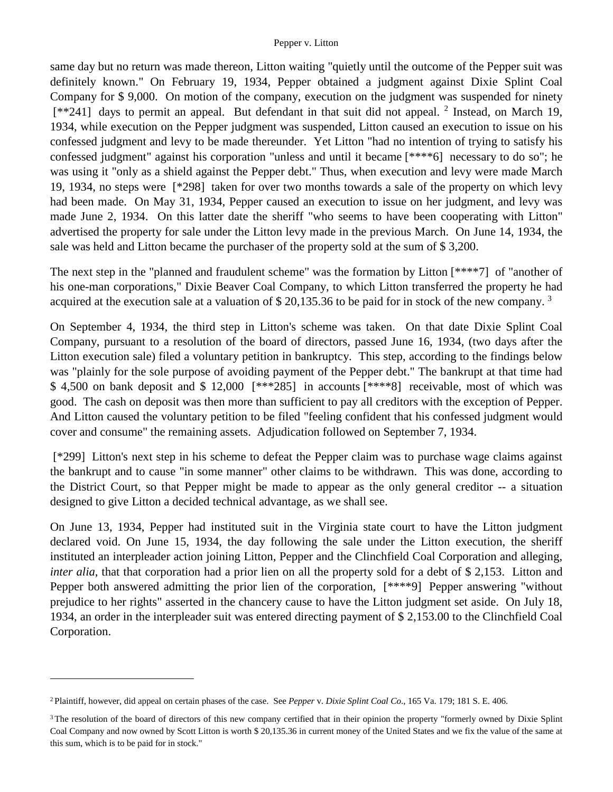#### Pepper v. Litton

same day but no return was made thereon, Litton waiting "quietly until the outcome of the Pepper suit was definitely known." On February 19, 1934, Pepper obtained a judgment against Dixie Splint Coal Company for \$ 9,000. On motion of the company, execution on the judgment was suspended for ninety  $[$ \*241] days to permit an appeal. But defendant in that suit did not appeal.  $^2$  Instead, on March 19, 1934, while execution on the Pepper judgment was suspended, Litton caused an execution to issue on his confessed judgment and levy to be made thereunder. Yet Litton "had no intention of trying to satisfy his confessed judgment" against his corporation "unless and until it became [\*\*\*\*6] necessary to do so"; he was using it "only as a shield against the Pepper debt." Thus, when execution and levy were made March 19, 1934, no steps were [\*298] taken for over two months towards a sale of the property on which levy had been made. On May 31, 1934, Pepper caused an execution to issue on her judgment, and levy was made June 2, 1934. On this latter date the sheriff "who seems to have been cooperating with Litton" advertised the property for sale under the Litton levy made in the previous March. On June 14, 1934, the sale was held and Litton became the purchaser of the property sold at the sum of \$ 3,200.

The next step in the "planned and fraudulent scheme" was the formation by Litton [\*\*\*\*7] of "another of his one-man corporations," Dixie Beaver Coal Company, to which Litton transferred the property he had acquired at the execution sale at a valuation of  $$ 20,135.36$  to be paid for in stock of the new company.<sup>3</sup>

On September 4, 1934, the third step in Litton's scheme was taken. On that date Dixie Splint Coal Company, pursuant to a resolution of the board of directors, passed June 16, 1934, (two days after the Litton execution sale) filed a voluntary petition in bankruptcy. This step, according to the findings below was "plainly for the sole purpose of avoiding payment of the Pepper debt." The bankrupt at that time had  $$ 4,500$  on bank deposit and  $$ 12,000$  [\*\*\*285] in accounts [\*\*\*\*8] receivable, most of which was good. The cash on deposit was then more than sufficient to pay all creditors with the exception of Pepper. And Litton caused the voluntary petition to be filed "feeling confident that his confessed judgment would cover and consume" the remaining assets. Adjudication followed on September 7, 1934.

[\*299] Litton's next step in his scheme to defeat the Pepper claim was to purchase wage claims against the bankrupt and to cause "in some manner" other claims to be withdrawn. This was done, according to the District Court, so that Pepper might be made to appear as the only general creditor -- a situation designed to give Litton a decided technical advantage, as we shall see.

On June 13, 1934, Pepper had instituted suit in the Virginia state court to have the Litton judgment declared void. On June 15, 1934, the day following the sale under the Litton execution, the sheriff instituted an interpleader action joining Litton, Pepper and the Clinchfield Coal Corporation and alleging, *inter alia*, that that corporation had a prior lien on all the property sold for a debt of \$ 2,153. Litton and Pepper both answered admitting the prior lien of the corporation,  $[***9]$  Pepper answering "without prejudice to her rights" asserted in the chancery cause to have the Litton judgment set aside. On July 18, 1934, an order in the interpleader suit was entered directing payment of \$ 2,153.00 to the Clinchfield Coal Corporation.

<sup>2</sup> Plaintiff, however, did appeal on certain phases of the case. See *Pepper* v. *Dixie Splint Coal Co*., 165 Va. 179; 181 S. E. 406.

<sup>&</sup>lt;sup>3</sup>The resolution of the board of directors of this new company certified that in their opinion the property "formerly owned by Dixie Splint Coal Company and now owned by Scott Litton is worth \$ 20,135.36 in current money of the United States and we fix the value of the same at this sum, which is to be paid for in stock."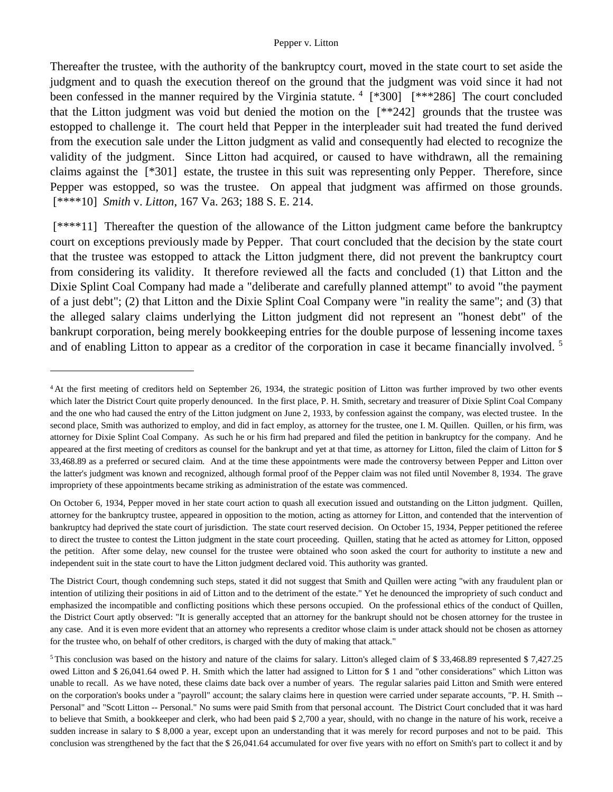#### Pepper v. Litton

Thereafter the trustee, with the authority of the bankruptcy court, moved in the state court to set aside the judgment and to quash the execution thereof on the ground that the judgment was void since it had not been confessed in the manner required by the Virginia statute. <sup>4</sup> [\*300] [\*\*\*286] The court concluded that the Litton judgment was void but denied the motion on the [\*\*242] grounds that the trustee was estopped to challenge it. The court held that Pepper in the interpleader suit had treated the fund derived from the execution sale under the Litton judgment as valid and consequently had elected to recognize the validity of the judgment. Since Litton had acquired, or caused to have withdrawn, all the remaining claims against the [\*301] estate, the trustee in this suit was representing only Pepper. Therefore, since Pepper was estopped, so was the trustee. On appeal that judgment was affirmed on those grounds. [\*\*\*\*10] *Smith* v. *Litton*, 167 Va. 263; 188 S. E. 214.

[\*\*\*\*11] Thereafter the question of the allowance of the Litton judgment came before the bankruptcy court on exceptions previously made by Pepper. That court concluded that the decision by the state court that the trustee was estopped to attack the Litton judgment there, did not prevent the bankruptcy court from considering its validity. It therefore reviewed all the facts and concluded (1) that Litton and the Dixie Splint Coal Company had made a "deliberate and carefully planned attempt" to avoid "the payment of a just debt"; (2) that Litton and the Dixie Splint Coal Company were "in reality the same"; and (3) that the alleged salary claims underlying the Litton judgment did not represent an "honest debt" of the bankrupt corporation, being merely bookkeeping entries for the double purpose of lessening income taxes and of enabling Litton to appear as a creditor of the corporation in case it became financially involved. <sup>5</sup>

<sup>&</sup>lt;sup>4</sup> At the first meeting of creditors held on September 26, 1934, the strategic position of Litton was further improved by two other events which later the District Court quite properly denounced. In the first place, P. H. Smith, secretary and treasurer of Dixie Splint Coal Company and the one who had caused the entry of the Litton judgment on June 2, 1933, by confession against the company, was elected trustee. In the second place, Smith was authorized to employ, and did in fact employ, as attorney for the trustee, one I. M. Quillen. Quillen, or his firm, was attorney for Dixie Splint Coal Company. As such he or his firm had prepared and filed the petition in bankruptcy for the company. And he appeared at the first meeting of creditors as counsel for the bankrupt and yet at that time, as attorney for Litton, filed the claim of Litton for \$ 33,468.89 as a preferred or secured claim. And at the time these appointments were made the controversy between Pepper and Litton over the latter's judgment was known and recognized, although formal proof of the Pepper claim was not filed until November 8, 1934. The grave impropriety of these appointments became striking as administration of the estate was commenced.

On October 6, 1934, Pepper moved in her state court action to quash all execution issued and outstanding on the Litton judgment. Quillen, attorney for the bankruptcy trustee, appeared in opposition to the motion, acting as attorney for Litton, and contended that the intervention of bankruptcy had deprived the state court of jurisdiction. The state court reserved decision. On October 15, 1934, Pepper petitioned the referee to direct the trustee to contest the Litton judgment in the state court proceeding. Quillen, stating that he acted as attorney for Litton, opposed the petition. After some delay, new counsel for the trustee were obtained who soon asked the court for authority to institute a new and independent suit in the state court to have the Litton judgment declared void. This authority was granted.

The District Court, though condemning such steps, stated it did not suggest that Smith and Quillen were acting "with any fraudulent plan or intention of utilizing their positions in aid of Litton and to the detriment of the estate." Yet he denounced the impropriety of such conduct and emphasized the incompatible and conflicting positions which these persons occupied. On the professional ethics of the conduct of Quillen, the District Court aptly observed: "It is generally accepted that an attorney for the bankrupt should not be chosen attorney for the trustee in any case. And it is even more evident that an attorney who represents a creditor whose claim is under attack should not be chosen as attorney for the trustee who, on behalf of other creditors, is charged with the duty of making that attack."

<sup>5</sup> This conclusion was based on the history and nature of the claims for salary. Litton's alleged claim of \$ 33,468.89 represented \$ 7,427.25 owed Litton and \$ 26,041.64 owed P. H. Smith which the latter had assigned to Litton for \$ 1 and "other considerations" which Litton was unable to recall. As we have noted, these claims date back over a number of years. The regular salaries paid Litton and Smith were entered on the corporation's books under a "payroll" account; the salary claims here in question were carried under separate accounts, "P. H. Smith -- Personal" and "Scott Litton -- Personal." No sums were paid Smith from that personal account. The District Court concluded that it was hard to believe that Smith, a bookkeeper and clerk, who had been paid \$ 2,700 a year, should, with no change in the nature of his work, receive a sudden increase in salary to \$ 8,000 a year, except upon an understanding that it was merely for record purposes and not to be paid. This conclusion was strengthened by the fact that the \$ 26,041.64 accumulated for over five years with no effort on Smith's part to collect it and by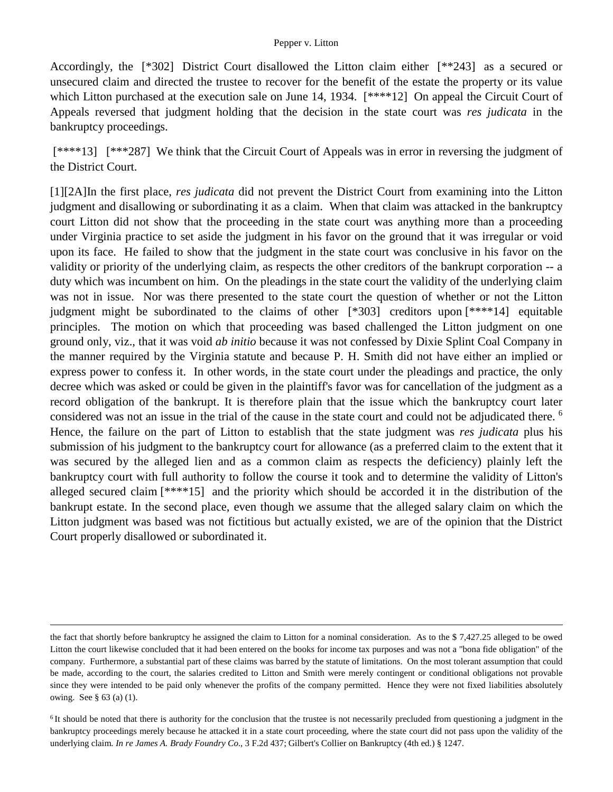Accordingly, the [\*302] District Court disallowed the Litton claim either [\*\*243] as a secured or unsecured claim and directed the trustee to recover for the benefit of the estate the property or its value which Litton purchased at the execution sale on June 14, 1934. [\*\*\*\*12] On appeal the Circuit Court of Appeals reversed that judgment holding that the decision in the state court was *res judicata* in the bankruptcy proceedings.

[\*\*\*\*13] [\*\*\*287] We think that the Circuit Court of Appeals was in error in reversing the judgment of the District Court.

[1][2A]In the first place, *res judicata* did not prevent the District Court from examining into the Litton judgment and disallowing or subordinating it as a claim. When that claim was attacked in the bankruptcy court Litton did not show that the proceeding in the state court was anything more than a proceeding under Virginia practice to set aside the judgment in his favor on the ground that it was irregular or void upon its face. He failed to show that the judgment in the state court was conclusive in his favor on the validity or priority of the underlying claim, as respects the other creditors of the bankrupt corporation -- a duty which was incumbent on him. On the pleadings in the state court the validity of the underlying claim was not in issue. Nor was there presented to the state court the question of whether or not the Litton judgment might be subordinated to the claims of other [\*303] creditors upon [\*\*\*\*14] equitable principles. The motion on which that proceeding was based challenged the Litton judgment on one ground only, viz., that it was void *ab initio* because it was not confessed by Dixie Splint Coal Company in the manner required by the Virginia statute and because P. H. Smith did not have either an implied or express power to confess it. In other words, in the state court under the pleadings and practice, the only decree which was asked or could be given in the plaintiff's favor was for cancellation of the judgment as a record obligation of the bankrupt. It is therefore plain that the issue which the bankruptcy court later considered was not an issue in the trial of the cause in the state court and could not be adjudicated there. <sup>6</sup> Hence, the failure on the part of Litton to establish that the state judgment was *res judicata* plus his submission of his judgment to the bankruptcy court for allowance (as a preferred claim to the extent that it was secured by the alleged lien and as a common claim as respects the deficiency) plainly left the bankruptcy court with full authority to follow the course it took and to determine the validity of Litton's alleged secured claim [\*\*\*\*15] and the priority which should be accorded it in the distribution of the bankrupt estate. In the second place, even though we assume that the alleged salary claim on which the Litton judgment was based was not fictitious but actually existed, we are of the opinion that the District Court properly disallowed or subordinated it.

the fact that shortly before bankruptcy he assigned the claim to Litton for a nominal consideration. As to the \$ 7,427.25 alleged to be owed Litton the court likewise concluded that it had been entered on the books for income tax purposes and was not a "bona fide obligation" of the company. Furthermore, a substantial part of these claims was barred by the statute of limitations. On the most tolerant assumption that could be made, according to the court, the salaries credited to Litton and Smith were merely contingent or conditional obligations not provable since they were intended to be paid only whenever the profits of the company permitted. Hence they were not fixed liabilities absolutely owing. See § 63 (a) (1).

<sup>&</sup>lt;sup>6</sup>It should be noted that there is authority for the conclusion that the trustee is not necessarily precluded from questioning a judgment in the bankruptcy proceedings merely because he attacked it in a state court proceeding, where the state court did not pass upon the validity of the underlying claim. *In re James A. Brady Foundry Co*., 3 F.2d 437; Gilbert's Collier on Bankruptcy (4th ed.) § 1247.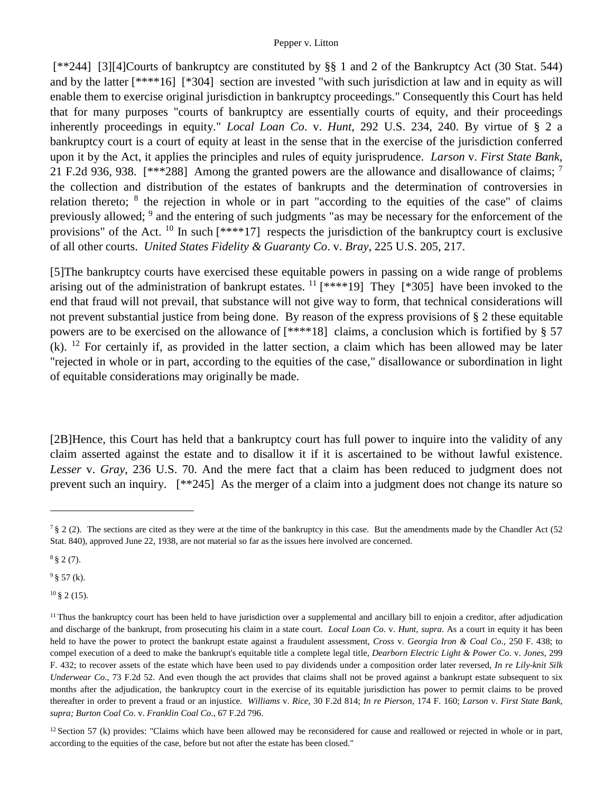[\*\*244] [3][4]Courts of bankruptcy are constituted by §§ 1 and 2 of the Bankruptcy Act (30 Stat. 544) and by the latter [\*\*\*\*16] [\*304] section are invested "with such jurisdiction at law and in equity as will enable them to exercise original jurisdiction in bankruptcy proceedings." Consequently this Court has held that for many purposes "courts of bankruptcy are essentially courts of equity, and their proceedings inherently proceedings in equity." *Local Loan Co*. v. *Hunt*, 292 U.S. 234, 240. By virtue of § 2 a bankruptcy court is a court of equity at least in the sense that in the exercise of the jurisdiction conferred upon it by the Act, it applies the principles and rules of equity jurisprudence. *Larson* v. *First State Bank*, 21 F.2d 936, 938. [\*\*\*288] Among the granted powers are the allowance and disallowance of claims; <sup>7</sup> the collection and distribution of the estates of bankrupts and the determination of controversies in relation thereto; <sup>8</sup> the rejection in whole or in part "according to the equities of the case" of claims previously allowed; <sup>9</sup> and the entering of such judgments "as may be necessary for the enforcement of the provisions" of the Act.  $^{10}$  In such [\*\*\*\*17] respects the jurisdiction of the bankruptcy court is exclusive of all other courts. *United States Fidelity & Guaranty Co*. v. *Bray*, 225 U.S. 205, 217.

[5]The bankruptcy courts have exercised these equitable powers in passing on a wide range of problems arising out of the administration of bankrupt estates.  $^{11}$  [\*\*\*\*19] They [\*305] have been invoked to the end that fraud will not prevail, that substance will not give way to form, that technical considerations will not prevent substantial justice from being done. By reason of the express provisions of § 2 these equitable powers are to be exercised on the allowance of [\*\*\*\*18] claims, a conclusion which is fortified by § 57 (k). <sup>12</sup> For certainly if, as provided in the latter section, a claim which has been allowed may be later "rejected in whole or in part, according to the equities of the case," disallowance or subordination in light of equitable considerations may originally be made.

[2B]Hence, this Court has held that a bankruptcy court has full power to inquire into the validity of any claim asserted against the estate and to disallow it if it is ascertained to be without lawful existence. *Lesser* v. *Gray*, 236 U.S. 70. And the mere fact that a claim has been reduced to judgment does not prevent such an inquiry. [\*\*245] As the merger of a claim into a judgment does not change its nature so

 $9 \S 57$  (k).

 $10 \text{ }$ § 2 (15).

 $7 \nbrace$  8 2 (2). The sections are cited as they were at the time of the bankruptcy in this case. But the amendments made by the Chandler Act (52) Stat. 840), approved June 22, 1938, are not material so far as the issues here involved are concerned.

 $8 \S 2 (7)$ .

<sup>&</sup>lt;sup>11</sup> Thus the bankruptcy court has been held to have jurisdiction over a supplemental and ancillary bill to enjoin a creditor, after adjudication and discharge of the bankrupt, from prosecuting his claim in a state court. *Local Loan Co*. v. *Hunt, supra*. As a court in equity it has been held to have the power to protect the bankrupt estate against a fraudulent assessment, *Cross* v. *Georgia Iron & Coal Co*., 250 F. 438; to compel execution of a deed to make the bankrupt's equitable title a complete legal title, *Dearborn Electric Light & Power Co*. v. *Jones*, 299 F. 432; to recover assets of the estate which have been used to pay dividends under a composition order later reversed, *In re Lily-knit Silk Underwear Co*., 73 F.2d 52. And even though the act provides that claims shall not be proved against a bankrupt estate subsequent to six months after the adjudication, the bankruptcy court in the exercise of its equitable jurisdiction has power to permit claims to be proved thereafter in order to prevent a fraud or an injustice. *Williams* v. *Rice*, 30 F.2d 814; *In re Pierson*, 174 F. 160; *Larson* v. *First State Bank, supra; Burton Coal Co*. v. *Franklin Coal Co*., 67 F.2d 796.

 $12$  Section 57 (k) provides: "Claims which have been allowed may be reconsidered for cause and reallowed or rejected in whole or in part, according to the equities of the case, before but not after the estate has been closed."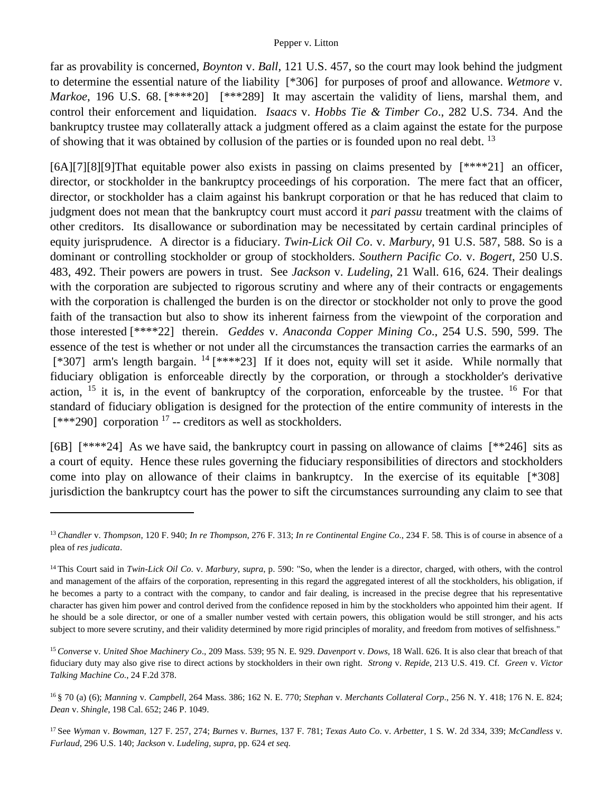far as provability is concerned, *Boynton* v. *Ball*, 121 U.S. 457, so the court may look behind the judgment to determine the essential nature of the liability [\*306] for purposes of proof and allowance. *Wetmore* v. *Markoe*, 196 U.S. 68. [\*\*\*\*20] [\*\*\*289] It may ascertain the validity of liens, marshal them, and control their enforcement and liquidation. *Isaacs* v. *Hobbs Tie & Timber Co*., 282 U.S. 734. And the bankruptcy trustee may collaterally attack a judgment offered as a claim against the estate for the purpose of showing that it was obtained by collusion of the parties or is founded upon no real debt. <sup>13</sup>

[6A][7][8][9]That equitable power also exists in passing on claims presented by [\*\*\*\*21] an officer, director, or stockholder in the bankruptcy proceedings of his corporation. The mere fact that an officer, director, or stockholder has a claim against his bankrupt corporation or that he has reduced that claim to judgment does not mean that the bankruptcy court must accord it *pari passu* treatment with the claims of other creditors. Its disallowance or subordination may be necessitated by certain cardinal principles of equity jurisprudence. A director is a fiduciary. *Twin-Lick Oil Co*. v. *Marbury*, 91 U.S. 587, 588. So is a dominant or controlling stockholder or group of stockholders. *Southern Pacific Co*. v. *Bogert*, 250 U.S. 483, 492. Their powers are powers in trust. See *Jackson* v. *Ludeling*, 21 Wall. 616, 624. Their dealings with the corporation are subjected to rigorous scrutiny and where any of their contracts or engagements with the corporation is challenged the burden is on the director or stockholder not only to prove the good faith of the transaction but also to show its inherent fairness from the viewpoint of the corporation and those interested [\*\*\*\*22] therein. *Geddes* v. *Anaconda Copper Mining Co*., 254 U.S. 590, 599. The essence of the test is whether or not under all the circumstances the transaction carries the earmarks of an [\*307] arm's length bargain. <sup>14</sup> [\*\*\*\*23] If it does not, equity will set it aside. While normally that fiduciary obligation is enforceable directly by the corporation, or through a stockholder's derivative action,  $15$  it is, in the event of bankruptcy of the corporation, enforceable by the trustee.  $16$  For that standard of fiduciary obligation is designed for the protection of the entire community of interests in the [\*\*\*290] corporation<sup>17</sup> -- creditors as well as stockholders.

[6B] [\*\*\*\*24] As we have said, the bankruptcy court in passing on allowance of claims [\*\*246] sits as a court of equity. Hence these rules governing the fiduciary responsibilities of directors and stockholders come into play on allowance of their claims in bankruptcy. In the exercise of its equitable [\*308] jurisdiction the bankruptcy court has the power to sift the circumstances surrounding any claim to see that

<sup>13</sup> *Chandler* v. *Thompson*, 120 F. 940; *In re Thompson*, 276 F. 313; *In re Continental Engine Co*., 234 F. 58. This is of course in absence of a plea of *res judicata*.

<sup>14</sup> This Court said in *Twin-Lick Oil Co*. v. *Marbury, supra*, p. 590: "So, when the lender is a director, charged, with others, with the control and management of the affairs of the corporation, representing in this regard the aggregated interest of all the stockholders, his obligation, if he becomes a party to a contract with the company, to candor and fair dealing, is increased in the precise degree that his representative character has given him power and control derived from the confidence reposed in him by the stockholders who appointed him their agent. If he should be a sole director, or one of a smaller number vested with certain powers, this obligation would be still stronger, and his acts subject to more severe scrutiny, and their validity determined by more rigid principles of morality, and freedom from motives of selfishness."

<sup>15</sup> *Converse* v. *United Shoe Machinery Co*., 209 Mass. 539; 95 N. E. 929. *Davenport* v. *Dows*, 18 Wall. 626. It is also clear that breach of that fiduciary duty may also give rise to direct actions by stockholders in their own right. *Strong* v. *Repide*, 213 U.S. 419. Cf. *Green* v. *Victor Talking Machine Co*., 24 F.2d 378.

<sup>16</sup> § 70 (a) (6); *Manning* v. *Campbell*, 264 Mass. 386; 162 N. E. 770; *Stephan* v. *Merchants Collateral Corp*., 256 N. Y. 418; 176 N. E. 824; *Dean* v. *Shingle*, 198 Cal. 652; 246 P. 1049.

<sup>17</sup> See *Wyman* v. *Bowman*, 127 F. 257, 274; *Burnes* v. *Burnes*, 137 F. 781; *Texas Auto Co*. v. *Arbetter*, 1 S. W. 2d 334, 339; *McCandless* v. *Furlaud*, 296 U.S. 140; *Jackson* v. *Ludeling, supra*, pp. 624 *et seq*.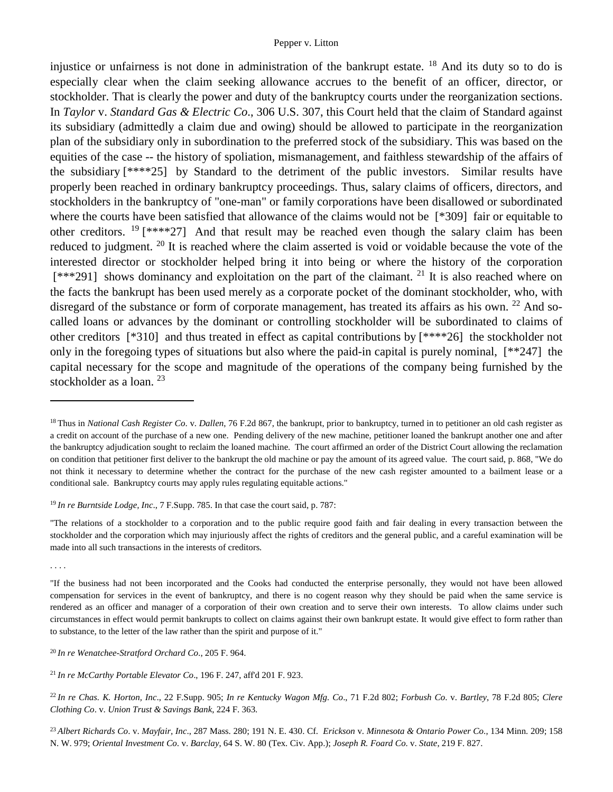injustice or unfairness is not done in administration of the bankrupt estate.  $18$  And its duty so to do is especially clear when the claim seeking allowance accrues to the benefit of an officer, director, or stockholder. That is clearly the power and duty of the bankruptcy courts under the reorganization sections. In *Taylor* v. *Standard Gas & Electric Co*., 306 U.S. 307, this Court held that the claim of Standard against its subsidiary (admittedly a claim due and owing) should be allowed to participate in the reorganization plan of the subsidiary only in subordination to the preferred stock of the subsidiary. This was based on the equities of the case -- the history of spoliation, mismanagement, and faithless stewardship of the affairs of the subsidiary [\*\*\*\*25] by Standard to the detriment of the public investors. Similar results have properly been reached in ordinary bankruptcy proceedings. Thus, salary claims of officers, directors, and stockholders in the bankruptcy of "one-man" or family corporations have been disallowed or subordinated where the courts have been satisfied that allowance of the claims would not be  $[*309]$  fair or equitable to other creditors. <sup>19</sup> [\*\*\*\*27] And that result may be reached even though the salary claim has been reduced to judgment. <sup>20</sup> It is reached where the claim asserted is void or voidable because the vote of the interested director or stockholder helped bring it into being or where the history of the corporation  $[***291]$  shows dominancy and exploitation on the part of the claimant. <sup>21</sup> It is also reached where on the facts the bankrupt has been used merely as a corporate pocket of the dominant stockholder, who, with disregard of the substance or form of corporate management, has treated its affairs as his own. <sup>22</sup> And socalled loans or advances by the dominant or controlling stockholder will be subordinated to claims of other creditors [\*310] and thus treated in effect as capital contributions by [\*\*\*\*26] the stockholder not only in the foregoing types of situations but also where the paid-in capital is purely nominal, [\*\*247] the capital necessary for the scope and magnitude of the operations of the company being furnished by the stockholder as a loan.<sup>23</sup>

. . . .

<sup>&</sup>lt;sup>18</sup> Thus in *National Cash Register Co. v. Dallen*, 76 F.2d 867, the bankrupt, prior to bankruptcy, turned in to petitioner an old cash register as a credit on account of the purchase of a new one. Pending delivery of the new machine, petitioner loaned the bankrupt another one and after the bankruptcy adjudication sought to reclaim the loaned machine. The court affirmed an order of the District Court allowing the reclamation on condition that petitioner first deliver to the bankrupt the old machine or pay the amount of its agreed value. The court said, p. 868, "We do not think it necessary to determine whether the contract for the purchase of the new cash register amounted to a bailment lease or a conditional sale. Bankruptcy courts may apply rules regulating equitable actions."

<sup>19</sup> *In re Burntside Lodge, Inc*., 7 F.Supp. 785. In that case the court said, p. 787:

<sup>&</sup>quot;The relations of a stockholder to a corporation and to the public require good faith and fair dealing in every transaction between the stockholder and the corporation which may injuriously affect the rights of creditors and the general public, and a careful examination will be made into all such transactions in the interests of creditors.

<sup>&</sup>quot;If the business had not been incorporated and the Cooks had conducted the enterprise personally, they would not have been allowed compensation for services in the event of bankruptcy, and there is no cogent reason why they should be paid when the same service is rendered as an officer and manager of a corporation of their own creation and to serve their own interests. To allow claims under such circumstances in effect would permit bankrupts to collect on claims against their own bankrupt estate. It would give effect to form rather than to substance, to the letter of the law rather than the spirit and purpose of it."

<sup>20</sup> *In re Wenatchee-Stratford Orchard Co*., 205 F. 964.

<sup>21</sup> *In re McCarthy Portable Elevator Co*., 196 F. 247, aff'd 201 F. 923.

<sup>22</sup> *In re Chas. K. Horton, Inc*., 22 F.Supp. 905; *In re Kentucky Wagon Mfg. Co*., 71 F.2d 802; *Forbush Co*. v. *Bartley*, 78 F.2d 805; *Clere Clothing Co*. v. *Union Trust & Savings Bank*, 224 F. 363.

<sup>23</sup> *Albert Richards Co*. v. *Mayfair, Inc*., 287 Mass. 280; 191 N. E. 430. Cf. *Erickson* v. *Minnesota & Ontario Power Co*., 134 Minn. 209; 158 N. W. 979; *Oriental Investment Co*. v. *Barclay*, 64 S. W. 80 (Tex. Civ. App.); *Joseph R. Foard Co*. v. *State*, 219 F. 827.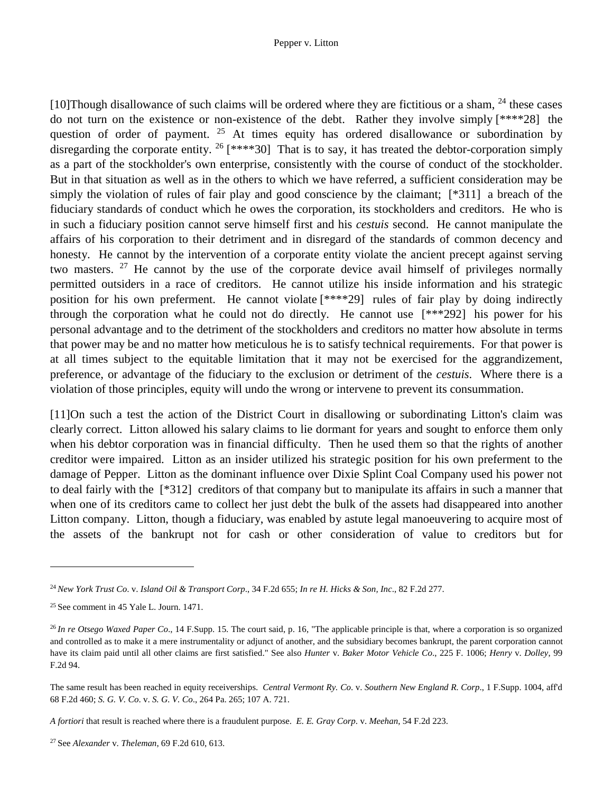[10]Though disallowance of such claims will be ordered where they are fictitious or a sham,  $^{24}$  these cases do not turn on the existence or non-existence of the debt. Rather they involve simply [\*\*\*\*28] the question of order of payment. <sup>25</sup> At times equity has ordered disallowance or subordination by disregarding the corporate entity. <sup>26</sup> [\*\*\*\*30] That is to say, it has treated the debtor-corporation simply as a part of the stockholder's own enterprise, consistently with the course of conduct of the stockholder. But in that situation as well as in the others to which we have referred, a sufficient consideration may be simply the violation of rules of fair play and good conscience by the claimant; [\*311] a breach of the fiduciary standards of conduct which he owes the corporation, its stockholders and creditors. He who is in such a fiduciary position cannot serve himself first and his *cestuis* second. He cannot manipulate the affairs of his corporation to their detriment and in disregard of the standards of common decency and honesty. He cannot by the intervention of a corporate entity violate the ancient precept against serving two masters. <sup>27</sup> He cannot by the use of the corporate device avail himself of privileges normally permitted outsiders in a race of creditors. He cannot utilize his inside information and his strategic position for his own preferment. He cannot violate [\*\*\*\*29] rules of fair play by doing indirectly through the corporation what he could not do directly. He cannot use [\*\*\*292] his power for his personal advantage and to the detriment of the stockholders and creditors no matter how absolute in terms that power may be and no matter how meticulous he is to satisfy technical requirements. For that power is at all times subject to the equitable limitation that it may not be exercised for the aggrandizement, preference, or advantage of the fiduciary to the exclusion or detriment of the *cestuis*. Where there is a violation of those principles, equity will undo the wrong or intervene to prevent its consummation.

[11]On such a test the action of the District Court in disallowing or subordinating Litton's claim was clearly correct. Litton allowed his salary claims to lie dormant for years and sought to enforce them only when his debtor corporation was in financial difficulty. Then he used them so that the rights of another creditor were impaired. Litton as an insider utilized his strategic position for his own preferment to the damage of Pepper. Litton as the dominant influence over Dixie Splint Coal Company used his power not to deal fairly with the [\*312] creditors of that company but to manipulate its affairs in such a manner that when one of its creditors came to collect her just debt the bulk of the assets had disappeared into another Litton company. Litton, though a fiduciary, was enabled by astute legal manoeuvering to acquire most of the assets of the bankrupt not for cash or other consideration of value to creditors but for

<sup>24</sup> *New York Trust Co*. v. *Island Oil & Transport Corp*., 34 F.2d 655; *In re H. Hicks & Son, Inc*., 82 F.2d 277.

 $25$  See comment in 45 Yale L. Journ. 1471.

<sup>&</sup>lt;sup>26</sup> *In re Otsego Waxed Paper Co.*, 14 F.Supp. 15. The court said, p. 16, "The applicable principle is that, where a corporation is so organized and controlled as to make it a mere instrumentality or adjunct of another, and the subsidiary becomes bankrupt, the parent corporation cannot have its claim paid until all other claims are first satisfied." See also *Hunter* v. *Baker Motor Vehicle Co*., 225 F. 1006; *Henry* v. *Dolley*, 99 F.2d 94.

The same result has been reached in equity receiverships. *Central Vermont Ry. Co*. v. *Southern New England R. Corp*., 1 F.Supp. 1004, aff'd 68 F.2d 460; *S. G. V. Co*. v. *S. G. V. Co*., 264 Pa. 265; 107 A. 721.

*A fortiori* that result is reached where there is a fraudulent purpose. *E. E. Gray Corp*. v. *Meehan*, 54 F.2d 223.

<sup>27</sup> See *Alexander* v. *Theleman*, 69 F.2d 610, 613.